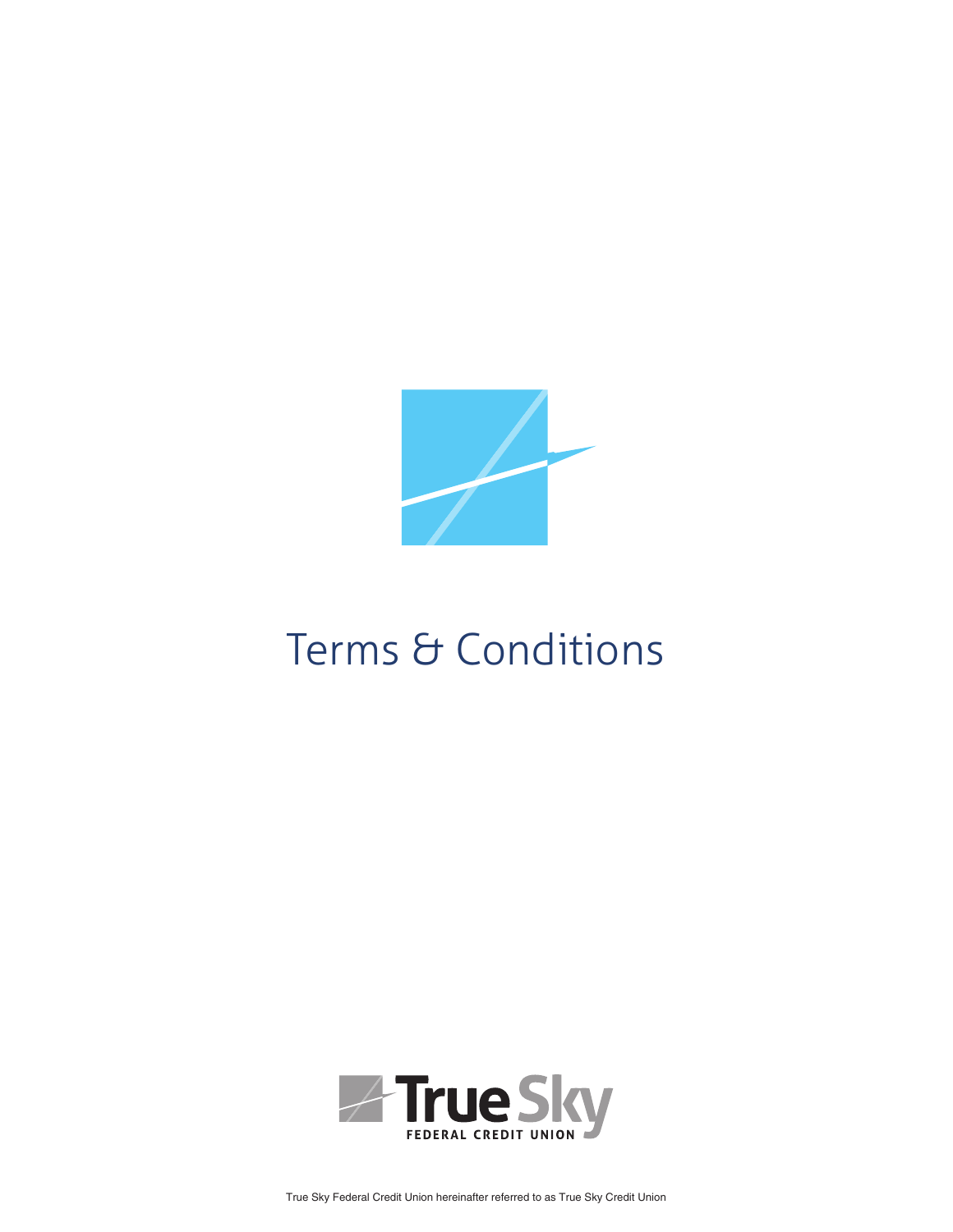

# Terms & Conditions



True Sky Federal Credit Union hereinafter referred to as True Sky Credit Union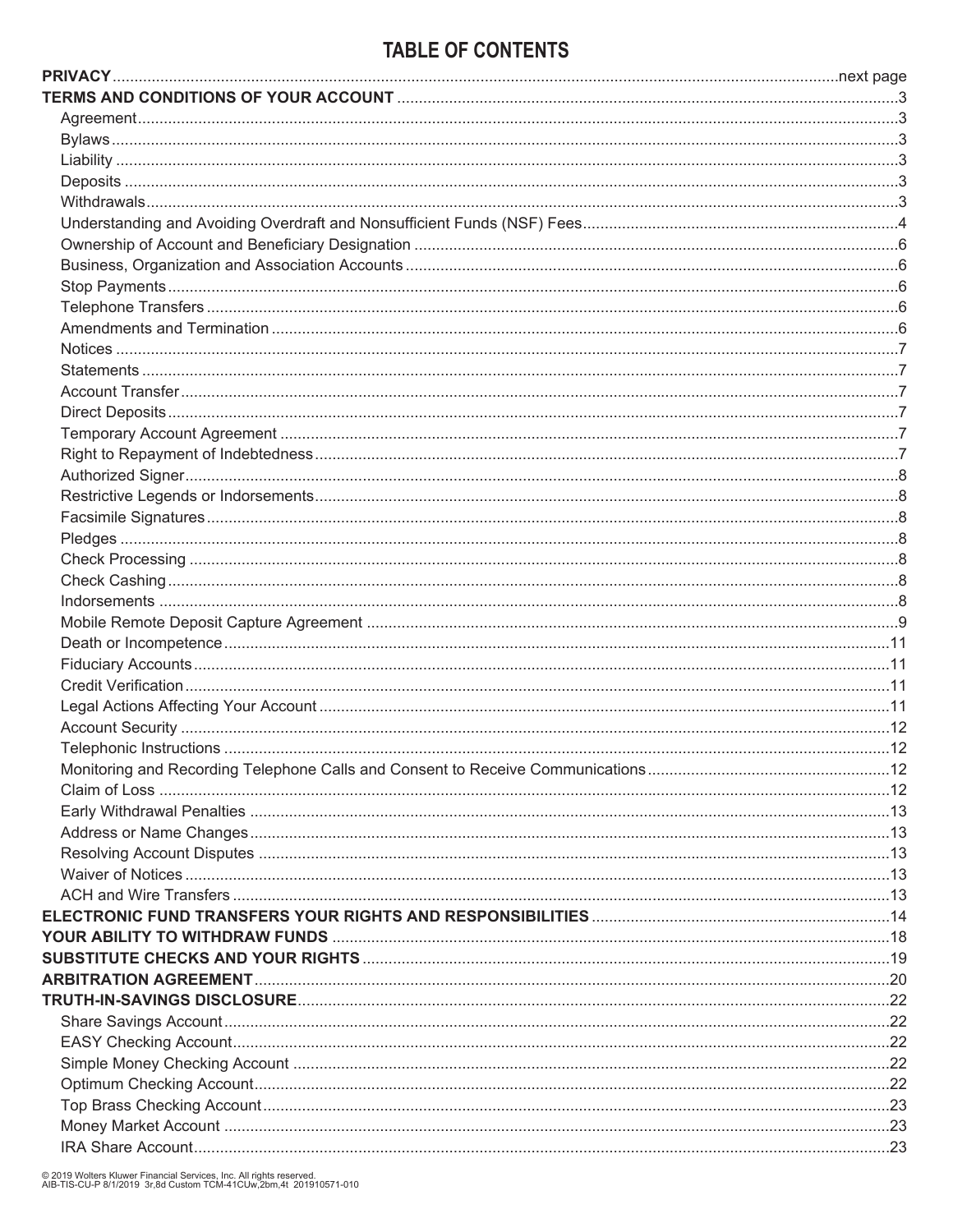## **TABLE OF CONTENTS**

© 2019 Wolters Kluwer Financial Services, Inc. All rights reserved.<br>AIB-TIS-CU-P 8/1/2019 3r,8d Custom TCM-41CUw,2bm,4t 201910571-010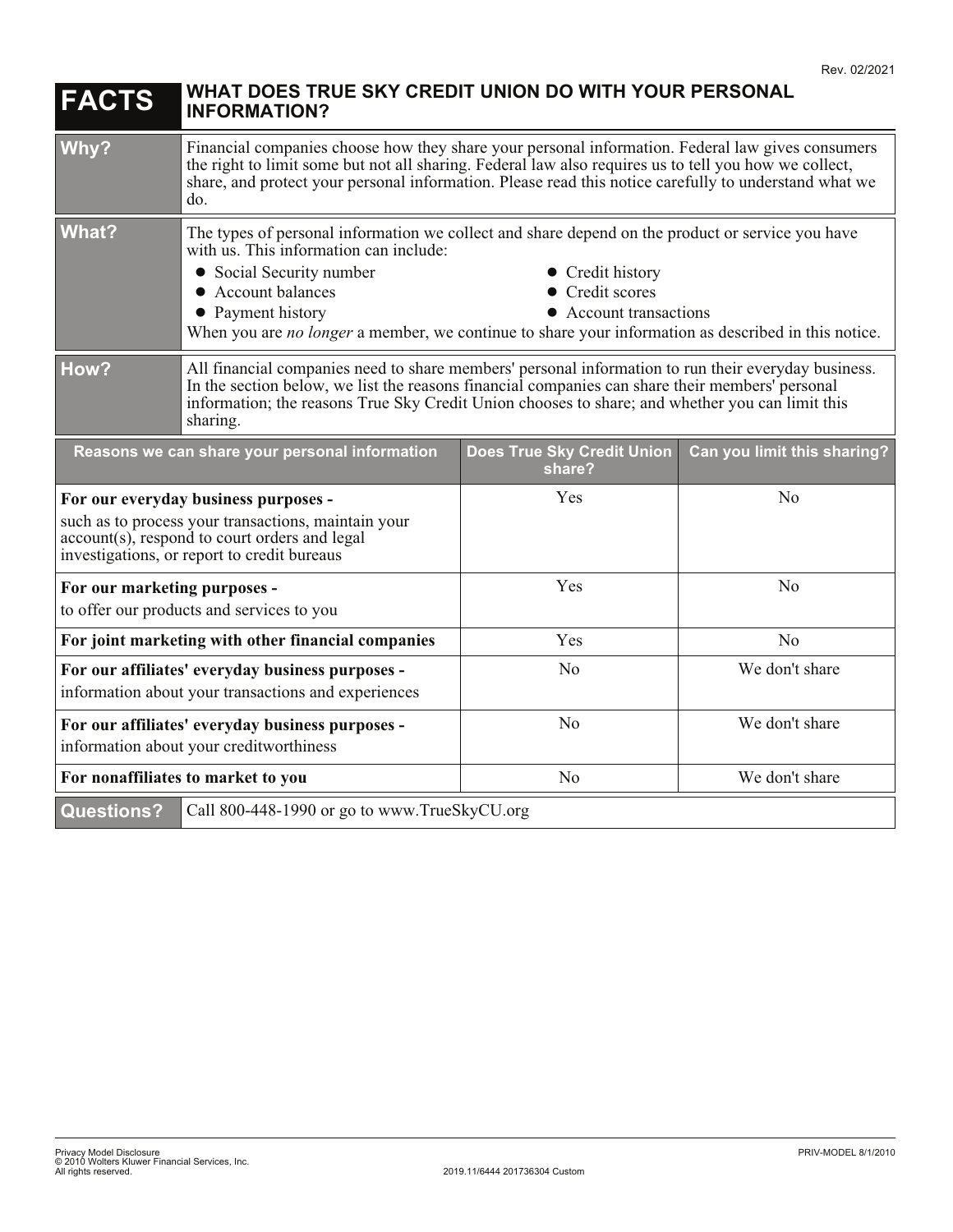| <b>FACTS</b>                                                                                                                                                                                                                                                                                                                  | WHAT DOES TRUE SKY CREDIT UNION DO WITH YOUR PERSONAL<br><b>INFORMATION?</b>                                                                                                                                                                                                                                                                                                              |     |                |
|-------------------------------------------------------------------------------------------------------------------------------------------------------------------------------------------------------------------------------------------------------------------------------------------------------------------------------|-------------------------------------------------------------------------------------------------------------------------------------------------------------------------------------------------------------------------------------------------------------------------------------------------------------------------------------------------------------------------------------------|-----|----------------|
| Why?                                                                                                                                                                                                                                                                                                                          | Financial companies choose how they share your personal information. Federal law gives consumers<br>the right to limit some but not all sharing. Federal law also requires us to tell you how we collect,<br>share, and protect your personal information. Please read this notice carefully to understand what we<br>do.                                                                 |     |                |
| <b>What?</b>                                                                                                                                                                                                                                                                                                                  | The types of personal information we collect and share depend on the product or service you have<br>with us. This information can include:<br>• Social Security number<br>• Credit history<br>• Credit scores<br>• Account balances<br>• Payment history<br>• Account transactions<br>When you are no longer a member, we continue to share your information as described in this notice. |     |                |
| How?<br>All financial companies need to share members' personal information to run their everyday business.<br>In the section below, we list the reasons financial companies can share their members' personal<br>information; the reasons True Sky Credit Union chooses to share; and whether you can limit this<br>sharing. |                                                                                                                                                                                                                                                                                                                                                                                           |     |                |
|                                                                                                                                                                                                                                                                                                                               | Reasons we can share your personal information<br>Does True Sky Credit Union<br>Can you limit this sharing?<br>share?                                                                                                                                                                                                                                                                     |     |                |
| For our everyday business purposes -<br>such as to process your transactions, maintain your<br>account(s), respond to court orders and legal<br>investigations, or report to credit bureaus                                                                                                                                   |                                                                                                                                                                                                                                                                                                                                                                                           | Yes | N <sub>o</sub> |
| For our marketing purposes -                                                                                                                                                                                                                                                                                                  | to offer our products and services to you                                                                                                                                                                                                                                                                                                                                                 | Yes | No             |
| For joint marketing with other financial companies                                                                                                                                                                                                                                                                            |                                                                                                                                                                                                                                                                                                                                                                                           | Yes | N <sub>o</sub> |
|                                                                                                                                                                                                                                                                                                                               | For our affiliates' everyday business purposes -<br>information about your transactions and experiences                                                                                                                                                                                                                                                                                   | No  | We don't share |
|                                                                                                                                                                                                                                                                                                                               | No<br>We don't share<br>For our affiliates' everyday business purposes -<br>information about your creditworthiness                                                                                                                                                                                                                                                                       |     |                |
|                                                                                                                                                                                                                                                                                                                               | We don't share<br>N <sub>o</sub><br>For nonaffiliates to market to you                                                                                                                                                                                                                                                                                                                    |     |                |
| <b>Questions?</b><br>Call 800-448-1990 or go to www.TrueSkyCU.org                                                                                                                                                                                                                                                             |                                                                                                                                                                                                                                                                                                                                                                                           |     |                |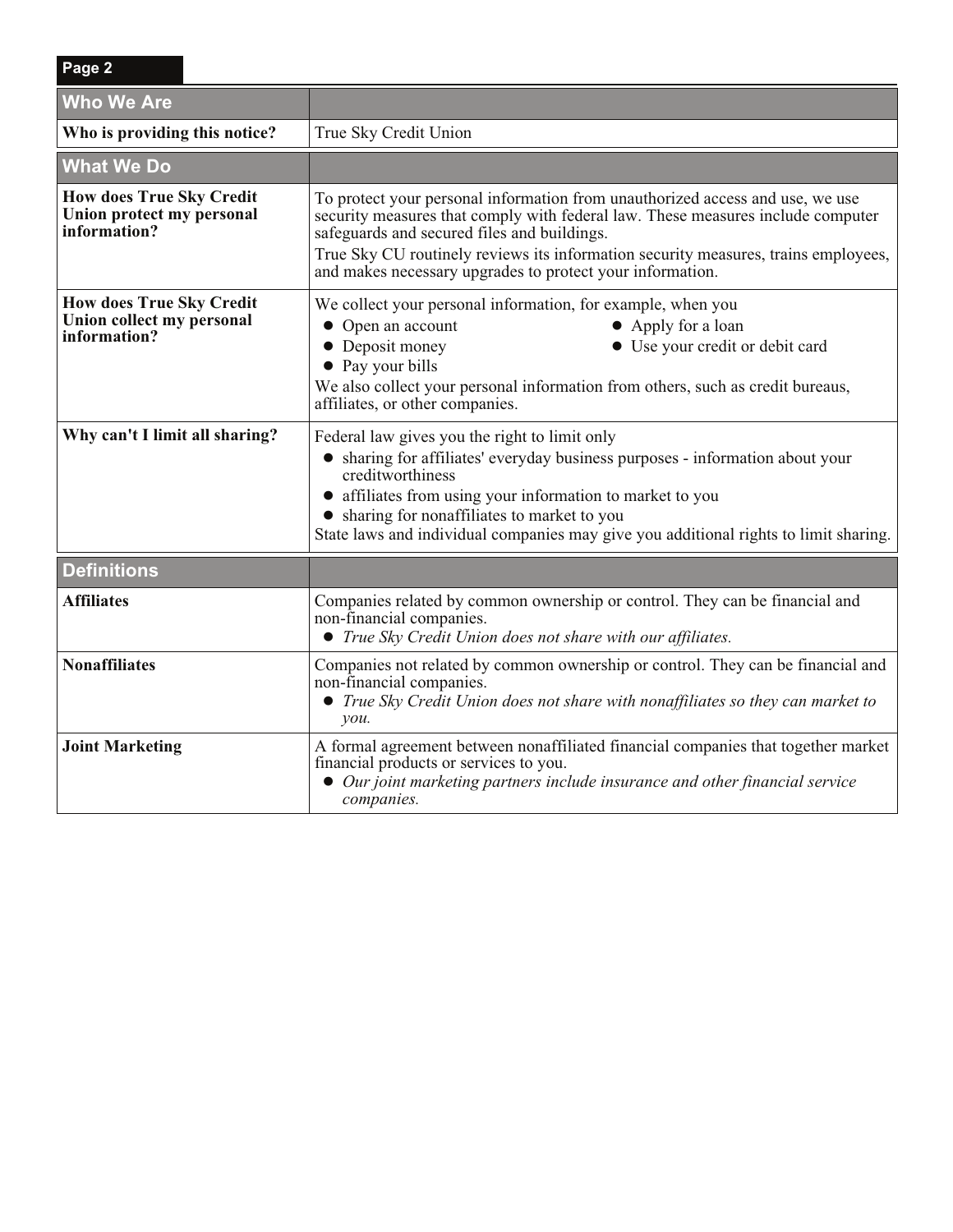| <b>Who We Are</b>                                                            |                                                                                                                                                                                                                                                                                                                                                                    |
|------------------------------------------------------------------------------|--------------------------------------------------------------------------------------------------------------------------------------------------------------------------------------------------------------------------------------------------------------------------------------------------------------------------------------------------------------------|
| Who is providing this notice?                                                | True Sky Credit Union                                                                                                                                                                                                                                                                                                                                              |
| <b>What We Do</b>                                                            |                                                                                                                                                                                                                                                                                                                                                                    |
| <b>How does True Sky Credit</b><br>Union protect my personal<br>information? | To protect your personal information from unauthorized access and use, we use<br>security measures that comply with federal law. These measures include computer<br>safeguards and secured files and buildings.<br>True Sky CU routinely reviews its information security measures, trains employees,<br>and makes necessary upgrades to protect your information. |
| <b>How does True Sky Credit</b><br>Union collect my personal<br>information? | We collect your personal information, for example, when you<br>• Open an account<br>• Apply for a loan<br>• Deposit money<br>• Use your credit or debit card<br>• Pay your bills<br>We also collect your personal information from others, such as credit bureaus,<br>affiliates, or other companies.                                                              |
| Why can't I limit all sharing?                                               | Federal law gives you the right to limit only<br>• sharing for affiliates' everyday business purposes - information about your<br>creditworthiness<br>• affiliates from using your information to market to you<br>• sharing for nonaffiliates to market to you<br>State laws and individual companies may give you additional rights to limit sharing.            |
| <b>Definitions</b>                                                           |                                                                                                                                                                                                                                                                                                                                                                    |
| <b>Affiliates</b>                                                            | Companies related by common ownership or control. They can be financial and<br>non-financial companies.<br>• True Sky Credit Union does not share with our affiliates.                                                                                                                                                                                             |
| <b>Nonaffiliates</b>                                                         | Companies not related by common ownership or control. They can be financial and<br>non-financial companies.<br>• True Sky Credit Union does not share with nonaffiliates so they can market to<br>you.                                                                                                                                                             |
| <b>Joint Marketing</b>                                                       | A formal agreement between nonaffiliated financial companies that together market<br>financial products or services to you.<br>• Our joint marketing partners include insurance and other financial service<br>companies.                                                                                                                                          |

**Page 2**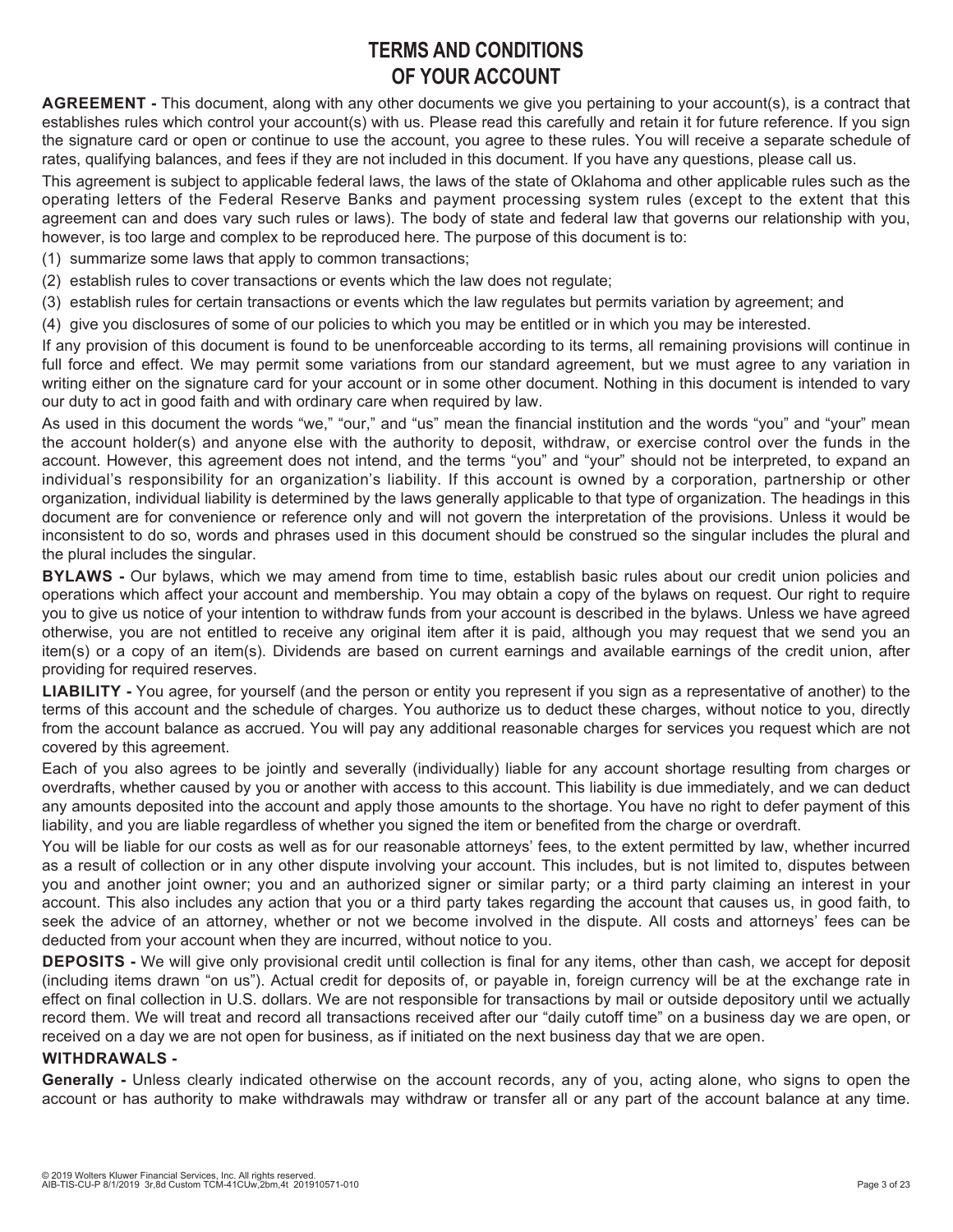## **TERMS AND CONDITIONS OF YOUR ACCOUNT**

**AGREEMENT -** This document, along with any other documents we give you pertaining to your account(s), is a contract that establishes rules which control your account(s) with us. Please read this carefully and retain it for future reference. If you sign the signature card or open or continue to use the account, you agree to these rules. You will receive a separate schedule of rates, qualifying balances, and fees if they are not included in this document. If you have any questions, please call us.

This agreement is subject to applicable federal laws, the laws of the state of Oklahoma and other applicable rules such as the operating letters of the Federal Reserve Banks and payment processing system rules (except to the extent that this agreement can and does vary such rules or laws). The body of state and federal law that governs our relationship with you, however, is too large and complex to be reproduced here. The purpose of this document is to:

- (1) summarize some laws that apply to common transactions;
- (2) establish rules to cover transactions or events which the law does not regulate;
- (3) establish rules for certain transactions or events which the law regulates but permits variation by agreement; and
- (4) give you disclosures of some of our policies to which you may be entitled or in which you may be interested.

If any provision of this document is found to be unenforceable according to its terms, all remaining provisions will continue in full force and effect. We may permit some variations from our standard agreement, but we must agree to any variation in writing either on the signature card for your account or in some other document. Nothing in this document is intended to vary our duty to act in good faith and with ordinary care when required by law.

As used in this document the words "we," "our," and "us" mean the financial institution and the words "you" and "your" mean the account holder(s) and anyone else with the authority to deposit, withdraw, or exercise control over the funds in the account. However, this agreement does not intend, and the terms "you" and "your" should not be interpreted, to expand an individual's responsibility for an organization's liability. If this account is owned by a corporation, partnership or other organization, individual liability is determined by the laws generally applicable to that type of organization. The headings in this document are for convenience or reference only and will not govern the interpretation of the provisions. Unless it would be inconsistent to do so, words and phrases used in this document should be construed so the singular includes the plural and the plural includes the singular.

**BYLAWS -** Our bylaws, which we may amend from time to time, establish basic rules about our credit union policies and operations which affect your account and membership. You may obtain a copy of the bylaws on request. Our right to require you to give us notice of your intention to withdraw funds from your account is described in the bylaws. Unless we have agreed otherwise, you are not entitled to receive any original item after it is paid, although you may request that we send you an item(s) or a copy of an item(s). Dividends are based on current earnings and available earnings of the credit union, after providing for required reserves.

**LIABILITY -** You agree, for yourself (and the person or entity you represent if you sign as a representative of another) to the terms of this account and the schedule of charges. You authorize us to deduct these charges, without notice to you, directly from the account balance as accrued. You will pay any additional reasonable charges for services you request which are not covered by this agreement.

Each of you also agrees to be jointly and severally (individually) liable for any account shortage resulting from charges or overdrafts, whether caused by you or another with access to this account. This liability is due immediately, and we can deduct any amounts deposited into the account and apply those amounts to the shortage. You have no right to defer payment of this liability, and you are liable regardless of whether you signed the item or benefited from the charge or overdraft.

You will be liable for our costs as well as for our reasonable attorneys' fees, to the extent permitted by law, whether incurred as a result of collection or in any other dispute involving your account. This includes, but is not limited to, disputes between you and another joint owner; you and an authorized signer or similar party; or a third party claiming an interest in your account. This also includes any action that you or a third party takes regarding the account that causes us, in good faith, to seek the advice of an attorney, whether or not we become involved in the dispute. All costs and attorneys' fees can be deducted from your account when they are incurred, without notice to you.

**DEPOSITS -** We will give only provisional credit until collection is final for any items, other than cash, we accept for deposit (including items drawn "on us"). Actual credit for deposits of, or payable in, foreign currency will be at the exchange rate in effect on final collection in U.S. dollars. We are not responsible for transactions by mail or outside depository until we actually record them. We will treat and record all transactions received after our "daily cutoff time" on a business day we are open, or received on a day we are not open for business, as if initiated on the next business day that we are open.

#### **WITHDRAWALS -**

**Generally -** Unless clearly indicated otherwise on the account records, any of you, acting alone, who signs to open the account or has authority to make withdrawals may withdraw or transfer all or any part of the account balance at any time.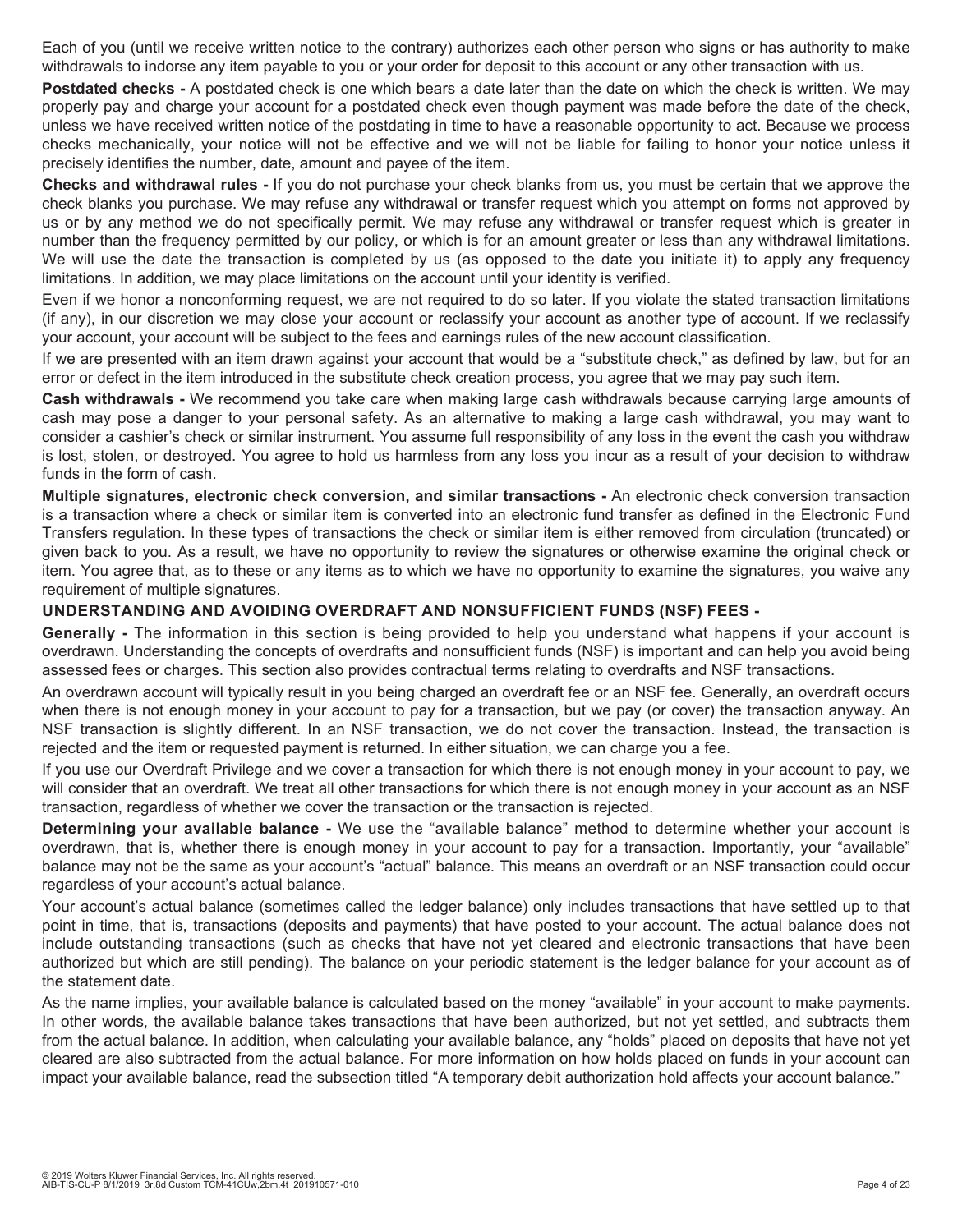Each of you (until we receive written notice to the contrary) authorizes each other person who signs or has authority to make withdrawals to indorse any item payable to you or your order for deposit to this account or any other transaction with us.

**Postdated checks -** A postdated check is one which bears a date later than the date on which the check is written. We may properly pay and charge your account for a postdated check even though payment was made before the date of the check, unless we have received written notice of the postdating in time to have a reasonable opportunity to act. Because we process checks mechanically, your notice will not be effective and we will not be liable for failing to honor your notice unless it precisely identifies the number, date, amount and payee of the item.

**Checks and withdrawal rules -** If you do not purchase your check blanks from us, you must be certain that we approve the check blanks you purchase. We may refuse any withdrawal or transfer request which you attempt on forms not approved by us or by any method we do not specifically permit. We may refuse any withdrawal or transfer request which is greater in number than the frequency permitted by our policy, or which is for an amount greater or less than any withdrawal limitations. We will use the date the transaction is completed by us (as opposed to the date you initiate it) to apply any frequency limitations. In addition, we may place limitations on the account until your identity is verified.

Even if we honor a nonconforming request, we are not required to do so later. If you violate the stated transaction limitations (if any), in our discretion we may close your account or reclassify your account as another type of account. If we reclassify your account, your account will be subject to the fees and earnings rules of the new account classification.

If we are presented with an item drawn against your account that would be a "substitute check," as defined by law, but for an error or defect in the item introduced in the substitute check creation process, you agree that we may pay such item.

**Cash withdrawals -** We recommend you take care when making large cash withdrawals because carrying large amounts of cash may pose a danger to your personal safety. As an alternative to making a large cash withdrawal, you may want to consider a cashier's check or similar instrument. You assume full responsibility of any loss in the event the cash you withdraw is lost, stolen, or destroyed. You agree to hold us harmless from any loss you incur as a result of your decision to withdraw funds in the form of cash.

**Multiple signatures, electronic check conversion, and similar transactions -** An electronic check conversion transaction is a transaction where a check or similar item is converted into an electronic fund transfer as defined in the Electronic Fund Transfers regulation. In these types of transactions the check or similar item is either removed from circulation (truncated) or given back to you. As a result, we have no opportunity to review the signatures or otherwise examine the original check or item. You agree that, as to these or any items as to which we have no opportunity to examine the signatures, you waive any requirement of multiple signatures.

#### **UNDERSTANDING AND AVOIDING OVERDRAFT AND NONSUFFICIENT FUNDS (NSF) FEES -**

**Generally -** The information in this section is being provided to help you understand what happens if your account is overdrawn. Understanding the concepts of overdrafts and nonsufficient funds (NSF) is important and can help you avoid being assessed fees or charges. This section also provides contractual terms relating to overdrafts and NSF transactions.

An overdrawn account will typically result in you being charged an overdraft fee or an NSF fee. Generally, an overdraft occurs when there is not enough money in your account to pay for a transaction, but we pay (or cover) the transaction anyway. An NSF transaction is slightly different. In an NSF transaction, we do not cover the transaction. Instead, the transaction is rejected and the item or requested payment is returned. In either situation, we can charge you a fee.

If you use our Overdraft Privilege and we cover a transaction for which there is not enough money in your account to pay, we will consider that an overdraft. We treat all other transactions for which there is not enough money in your account as an NSF transaction, regardless of whether we cover the transaction or the transaction is rejected.

**Determining your available balance -** We use the "available balance" method to determine whether your account is overdrawn, that is, whether there is enough money in your account to pay for a transaction. Importantly, your "available" balance may not be the same as your account's "actual" balance. This means an overdraft or an NSF transaction could occur regardless of your account's actual balance.

Your account's actual balance (sometimes called the ledger balance) only includes transactions that have settled up to that point in time, that is, transactions (deposits and payments) that have posted to your account. The actual balance does not include outstanding transactions (such as checks that have not yet cleared and electronic transactions that have been authorized but which are still pending). The balance on your periodic statement is the ledger balance for your account as of the statement date.

As the name implies, your available balance is calculated based on the money "available" in your account to make payments. In other words, the available balance takes transactions that have been authorized, but not yet settled, and subtracts them from the actual balance. In addition, when calculating your available balance, any "holds" placed on deposits that have not yet cleared are also subtracted from the actual balance. For more information on how holds placed on funds in your account can impact your available balance, read the subsection titled "A temporary debit authorization hold affects your account balance."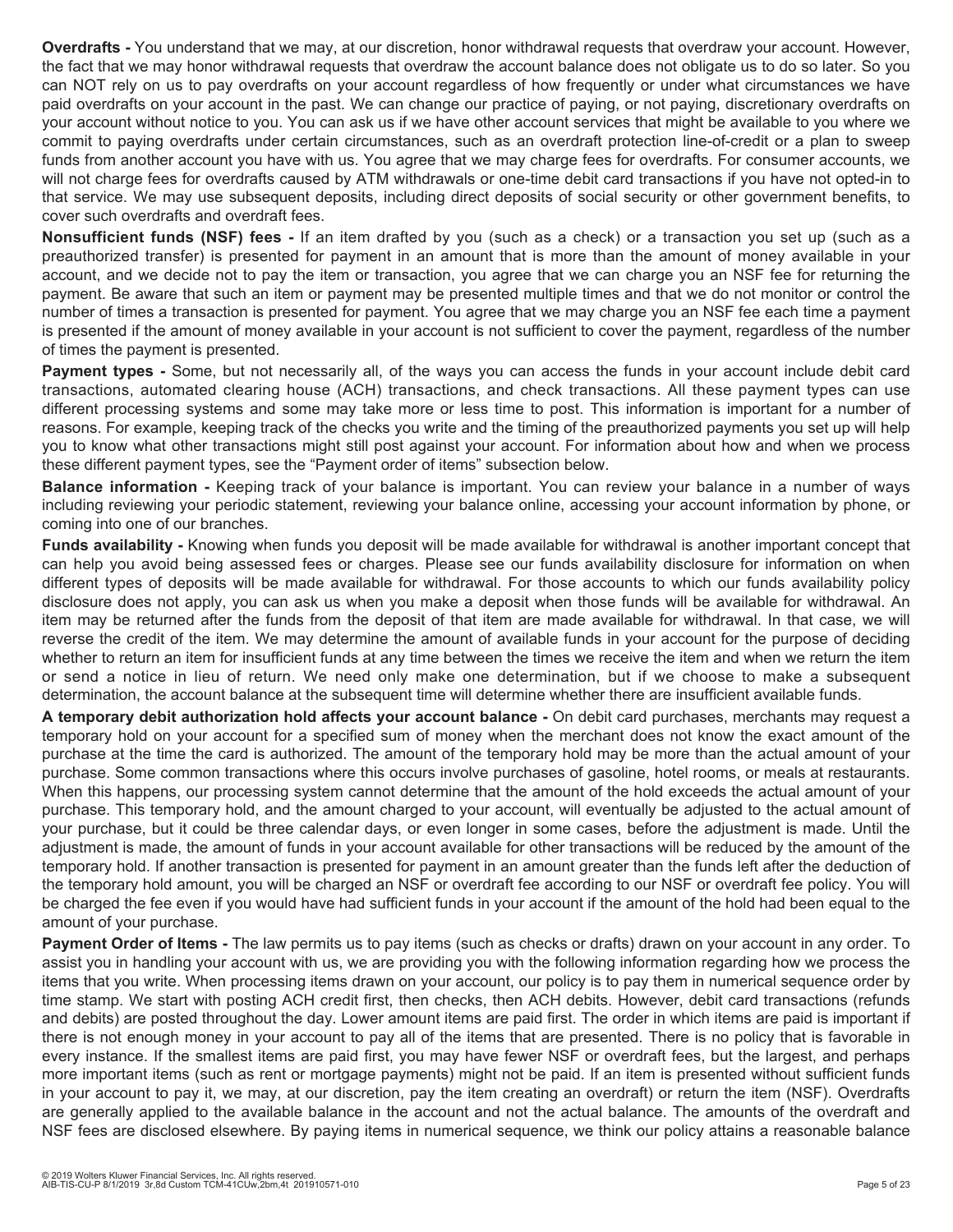**Overdrafts -** You understand that we may, at our discretion, honor withdrawal requests that overdraw your account. However, the fact that we may honor withdrawal requests that overdraw the account balance does not obligate us to do so later. So you can NOT rely on us to pay overdrafts on your account regardless of how frequently or under what circumstances we have paid overdrafts on your account in the past. We can change our practice of paying, or not paying, discretionary overdrafts on your account without notice to you. You can ask us if we have other account services that might be available to you where we commit to paying overdrafts under certain circumstances, such as an overdraft protection line-of-credit or a plan to sweep funds from another account you have with us. You agree that we may charge fees for overdrafts. For consumer accounts, we will not charge fees for overdrafts caused by ATM withdrawals or one-time debit card transactions if you have not opted-in to that service. We may use subsequent deposits, including direct deposits of social security or other government benefits, to cover such overdrafts and overdraft fees.

**Nonsufficient funds (NSF) fees -** If an item drafted by you (such as a check) or a transaction you set up (such as a preauthorized transfer) is presented for payment in an amount that is more than the amount of money available in your account, and we decide not to pay the item or transaction, you agree that we can charge you an NSF fee for returning the payment. Be aware that such an item or payment may be presented multiple times and that we do not monitor or control the number of times a transaction is presented for payment. You agree that we may charge you an NSF fee each time a payment is presented if the amount of money available in your account is not sufficient to cover the payment, regardless of the number of times the payment is presented.

**Payment types -** Some, but not necessarily all, of the ways you can access the funds in your account include debit card transactions, automated clearing house (ACH) transactions, and check transactions. All these payment types can use different processing systems and some may take more or less time to post. This information is important for a number of reasons. For example, keeping track of the checks you write and the timing of the preauthorized payments you set up will help you to know what other transactions might still post against your account. For information about how and when we process these different payment types, see the "Payment order of items" subsection below.

**Balance information -** Keeping track of your balance is important. You can review your balance in a number of ways including reviewing your periodic statement, reviewing your balance online, accessing your account information by phone, or coming into one of our branches.

**Funds availability -** Knowing when funds you deposit will be made available for withdrawal is another important concept that can help you avoid being assessed fees or charges. Please see our funds availability disclosure for information on when different types of deposits will be made available for withdrawal. For those accounts to which our funds availability policy disclosure does not apply, you can ask us when you make a deposit when those funds will be available for withdrawal. An item may be returned after the funds from the deposit of that item are made available for withdrawal. In that case, we will reverse the credit of the item. We may determine the amount of available funds in your account for the purpose of deciding whether to return an item for insufficient funds at any time between the times we receive the item and when we return the item or send a notice in lieu of return. We need only make one determination, but if we choose to make a subsequent determination, the account balance at the subsequent time will determine whether there are insufficient available funds.

**A temporary debit authorization hold affects your account balance -** On debit card purchases, merchants may request a temporary hold on your account for a specified sum of money when the merchant does not know the exact amount of the purchase at the time the card is authorized. The amount of the temporary hold may be more than the actual amount of your purchase. Some common transactions where this occurs involve purchases of gasoline, hotel rooms, or meals at restaurants. When this happens, our processing system cannot determine that the amount of the hold exceeds the actual amount of your purchase. This temporary hold, and the amount charged to your account, will eventually be adjusted to the actual amount of your purchase, but it could be three calendar days, or even longer in some cases, before the adjustment is made. Until the adjustment is made, the amount of funds in your account available for other transactions will be reduced by the amount of the temporary hold. If another transaction is presented for payment in an amount greater than the funds left after the deduction of the temporary hold amount, you will be charged an NSF or overdraft fee according to our NSF or overdraft fee policy. You will be charged the fee even if you would have had sufficient funds in your account if the amount of the hold had been equal to the amount of your purchase.

**Payment Order of Items -** The law permits us to pay items (such as checks or drafts) drawn on your account in any order. To assist you in handling your account with us, we are providing you with the following information regarding how we process the items that you write. When processing items drawn on your account, our policy is to pay them in numerical sequence order by time stamp. We start with posting ACH credit first, then checks, then ACH debits. However, debit card transactions (refunds and debits) are posted throughout the day. Lower amount items are paid first. The order in which items are paid is important if there is not enough money in your account to pay all of the items that are presented. There is no policy that is favorable in every instance. If the smallest items are paid first, you may have fewer NSF or overdraft fees, but the largest, and perhaps more important items (such as rent or mortgage payments) might not be paid. If an item is presented without sufficient funds in your account to pay it, we may, at our discretion, pay the item creating an overdraft) or return the item (NSF). Overdrafts are generally applied to the available balance in the account and not the actual balance. The amounts of the overdraft and NSF fees are disclosed elsewhere. By paying items in numerical sequence, we think our policy attains a reasonable balance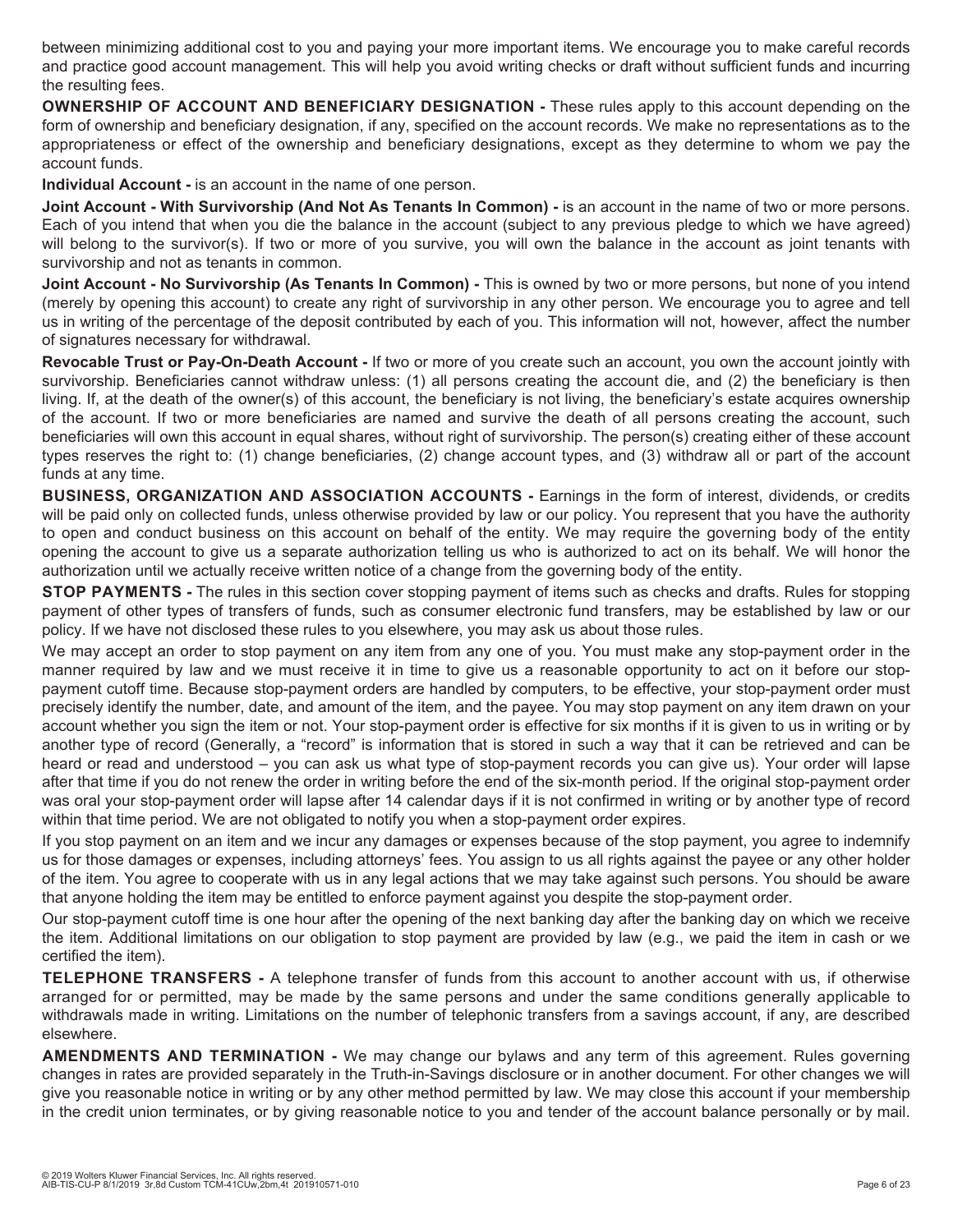between minimizing additional cost to you and paying your more important items. We encourage you to make careful records and practice good account management. This will help you avoid writing checks or draft without sufficient funds and incurring the resulting fees.

**OWNERSHIP OF ACCOUNT AND BENEFICIARY DESIGNATION -** These rules apply to this account depending on the form of ownership and beneficiary designation, if any, specified on the account records. We make no representations as to the appropriateness or effect of the ownership and beneficiary designations, except as they determine to whom we pay the account funds.

**Individual Account -** is an account in the name of one person.

**Joint Account - With Survivorship (And Not As Tenants In Common) -** is an account in the name of two or more persons. Each of you intend that when you die the balance in the account (subject to any previous pledge to which we have agreed) will belong to the survivor(s). If two or more of you survive, you will own the balance in the account as joint tenants with survivorship and not as tenants in common.

**Joint Account - No Survivorship (As Tenants In Common) -** This is owned by two or more persons, but none of you intend (merely by opening this account) to create any right of survivorship in any other person. We encourage you to agree and tell us in writing of the percentage of the deposit contributed by each of you. This information will not, however, affect the number of signatures necessary for withdrawal.

**Revocable Trust or Pay-On-Death Account -** If two or more of you create such an account, you own the account jointly with survivorship. Beneficiaries cannot withdraw unless: (1) all persons creating the account die, and (2) the beneficiary is then living. If, at the death of the owner(s) of this account, the beneficiary is not living, the beneficiary's estate acquires ownership of the account. If two or more beneficiaries are named and survive the death of all persons creating the account, such beneficiaries will own this account in equal shares, without right of survivorship. The person(s) creating either of these account types reserves the right to: (1) change beneficiaries, (2) change account types, and (3) withdraw all or part of the account funds at any time.

**BUSINESS, ORGANIZATION AND ASSOCIATION ACCOUNTS -** Earnings in the form of interest, dividends, or credits will be paid only on collected funds, unless otherwise provided by law or our policy. You represent that you have the authority to open and conduct business on this account on behalf of the entity. We may require the governing body of the entity opening the account to give us a separate authorization telling us who is authorized to act on its behalf. We will honor the authorization until we actually receive written notice of a change from the governing body of the entity.

**STOP PAYMENTS -** The rules in this section cover stopping payment of items such as checks and drafts. Rules for stopping payment of other types of transfers of funds, such as consumer electronic fund transfers, may be established by law or our policy. If we have not disclosed these rules to you elsewhere, you may ask us about those rules.

We may accept an order to stop payment on any item from any one of you. You must make any stop-payment order in the manner required by law and we must receive it in time to give us a reasonable opportunity to act on it before our stoppayment cutoff time. Because stop-payment orders are handled by computers, to be effective, your stop-payment order must precisely identify the number, date, and amount of the item, and the payee. You may stop payment on any item drawn on your account whether you sign the item or not. Your stop-payment order is effective for six months if it is given to us in writing or by another type of record (Generally, a "record" is information that is stored in such a way that it can be retrieved and can be heard or read and understood – you can ask us what type of stop-payment records you can give us). Your order will lapse after that time if you do not renew the order in writing before the end of the six-month period. If the original stop-payment order was oral your stop-payment order will lapse after 14 calendar days if it is not confirmed in writing or by another type of record within that time period. We are not obligated to notify you when a stop-payment order expires.

If you stop payment on an item and we incur any damages or expenses because of the stop payment, you agree to indemnify us for those damages or expenses, including attorneys' fees. You assign to us all rights against the payee or any other holder of the item. You agree to cooperate with us in any legal actions that we may take against such persons. You should be aware that anyone holding the item may be entitled to enforce payment against you despite the stop-payment order.

Our stop-payment cutoff time is one hour after the opening of the next banking day after the banking day on which we receive the item. Additional limitations on our obligation to stop payment are provided by law (e.g., we paid the item in cash or we certified the item).

**TELEPHONE TRANSFERS -** A telephone transfer of funds from this account to another account with us, if otherwise arranged for or permitted, may be made by the same persons and under the same conditions generally applicable to withdrawals made in writing. Limitations on the number of telephonic transfers from a savings account, if any, are described elsewhere.

**AMENDMENTS AND TERMINATION -** We may change our bylaws and any term of this agreement. Rules governing changes in rates are provided separately in the Truth-in-Savings disclosure or in another document. For other changes we will give you reasonable notice in writing or by any other method permitted by law. We may close this account if your membership in the credit union terminates, or by giving reasonable notice to you and tender of the account balance personally or by mail.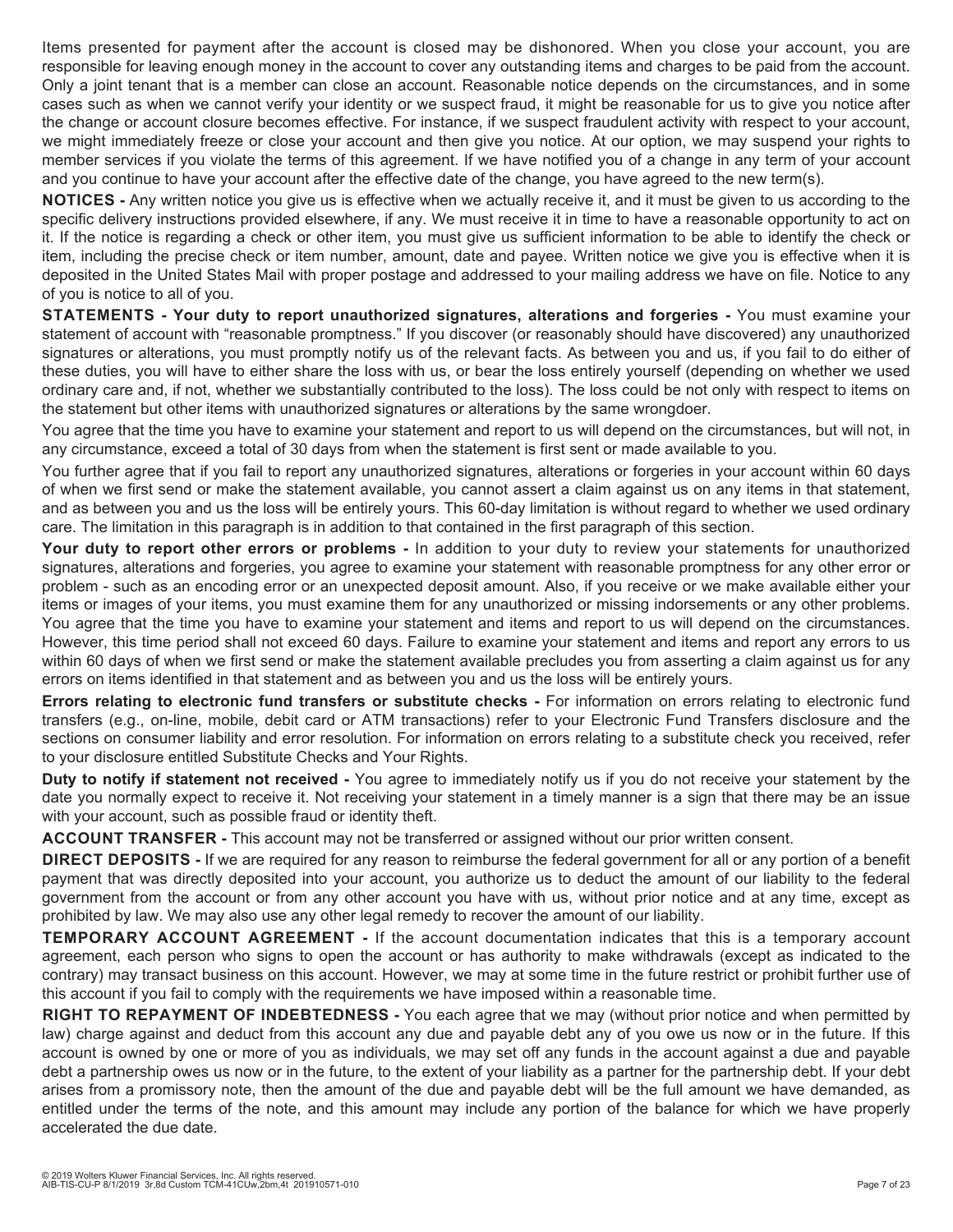Items presented for payment after the account is closed may be dishonored. When you close your account, you are responsible for leaving enough money in the account to cover any outstanding items and charges to be paid from the account. Only a joint tenant that is a member can close an account. Reasonable notice depends on the circumstances, and in some cases such as when we cannot verify your identity or we suspect fraud, it might be reasonable for us to give you notice after the change or account closure becomes effective. For instance, if we suspect fraudulent activity with respect to your account, we might immediately freeze or close your account and then give you notice. At our option, we may suspend your rights to member services if you violate the terms of this agreement. If we have notified you of a change in any term of your account and you continue to have your account after the effective date of the change, you have agreed to the new term(s).

**NOTICES -** Any written notice you give us is effective when we actually receive it, and it must be given to us according to the specific delivery instructions provided elsewhere, if any. We must receive it in time to have a reasonable opportunity to act on it. If the notice is regarding a check or other item, you must give us sufficient information to be able to identify the check or item, including the precise check or item number, amount, date and payee. Written notice we give you is effective when it is deposited in the United States Mail with proper postage and addressed to your mailing address we have on file. Notice to any of you is notice to all of you.

**STATEMENTS - Your duty to report unauthorized signatures, alterations and forgeries -** You must examine your statement of account with "reasonable promptness." If you discover (or reasonably should have discovered) any unauthorized signatures or alterations, you must promptly notify us of the relevant facts. As between you and us, if you fail to do either of these duties, you will have to either share the loss with us, or bear the loss entirely yourself (depending on whether we used ordinary care and, if not, whether we substantially contributed to the loss). The loss could be not only with respect to items on the statement but other items with unauthorized signatures or alterations by the same wrongdoer.

You agree that the time you have to examine your statement and report to us will depend on the circumstances, but will not, in any circumstance, exceed a total of 30 days from when the statement is first sent or made available to you.

You further agree that if you fail to report any unauthorized signatures, alterations or forgeries in your account within 60 days of when we first send or make the statement available, you cannot assert a claim against us on any items in that statement, and as between you and us the loss will be entirely yours. This 60-day limitation is without regard to whether we used ordinary care. The limitation in this paragraph is in addition to that contained in the first paragraph of this section.

**Your duty to report other errors or problems -** In addition to your duty to review your statements for unauthorized signatures, alterations and forgeries, you agree to examine your statement with reasonable promptness for any other error or problem - such as an encoding error or an unexpected deposit amount. Also, if you receive or we make available either your items or images of your items, you must examine them for any unauthorized or missing indorsements or any other problems. You agree that the time you have to examine your statement and items and report to us will depend on the circumstances. However, this time period shall not exceed 60 days. Failure to examine your statement and items and report any errors to us within 60 days of when we first send or make the statement available precludes you from asserting a claim against us for any errors on items identified in that statement and as between you and us the loss will be entirely yours.

**Errors relating to electronic fund transfers or substitute checks - For information on errors relating to electronic fund** transfers (e.g., on-line, mobile, debit card or ATM transactions) refer to your Electronic Fund Transfers disclosure and the sections on consumer liability and error resolution. For information on errors relating to a substitute check you received, refer to your disclosure entitled Substitute Checks and Your Rights.

**Duty to notify if statement not received -** You agree to immediately notify us if you do not receive your statement by the date you normally expect to receive it. Not receiving your statement in a timely manner is a sign that there may be an issue with your account, such as possible fraud or identity theft.

**ACCOUNT TRANSFER -** This account may not be transferred or assigned without our prior written consent.

**DIRECT DEPOSITS -** If we are required for any reason to reimburse the federal government for all or any portion of a benefit payment that was directly deposited into your account, you authorize us to deduct the amount of our liability to the federal government from the account or from any other account you have with us, without prior notice and at any time, except as prohibited by law. We may also use any other legal remedy to recover the amount of our liability.

**TEMPORARY ACCOUNT AGREEMENT -** If the account documentation indicates that this is a temporary account agreement, each person who signs to open the account or has authority to make withdrawals (except as indicated to the contrary) may transact business on this account. However, we may at some time in the future restrict or prohibit further use of this account if you fail to comply with the requirements we have imposed within a reasonable time.

**RIGHT TO REPAYMENT OF INDEBTEDNESS -** You each agree that we may (without prior notice and when permitted by law) charge against and deduct from this account any due and payable debt any of you owe us now or in the future. If this account is owned by one or more of you as individuals, we may set off any funds in the account against a due and payable debt a partnership owes us now or in the future, to the extent of your liability as a partner for the partnership debt. If your debt arises from a promissory note, then the amount of the due and payable debt will be the full amount we have demanded, as entitled under the terms of the note, and this amount may include any portion of the balance for which we have properly accelerated the due date.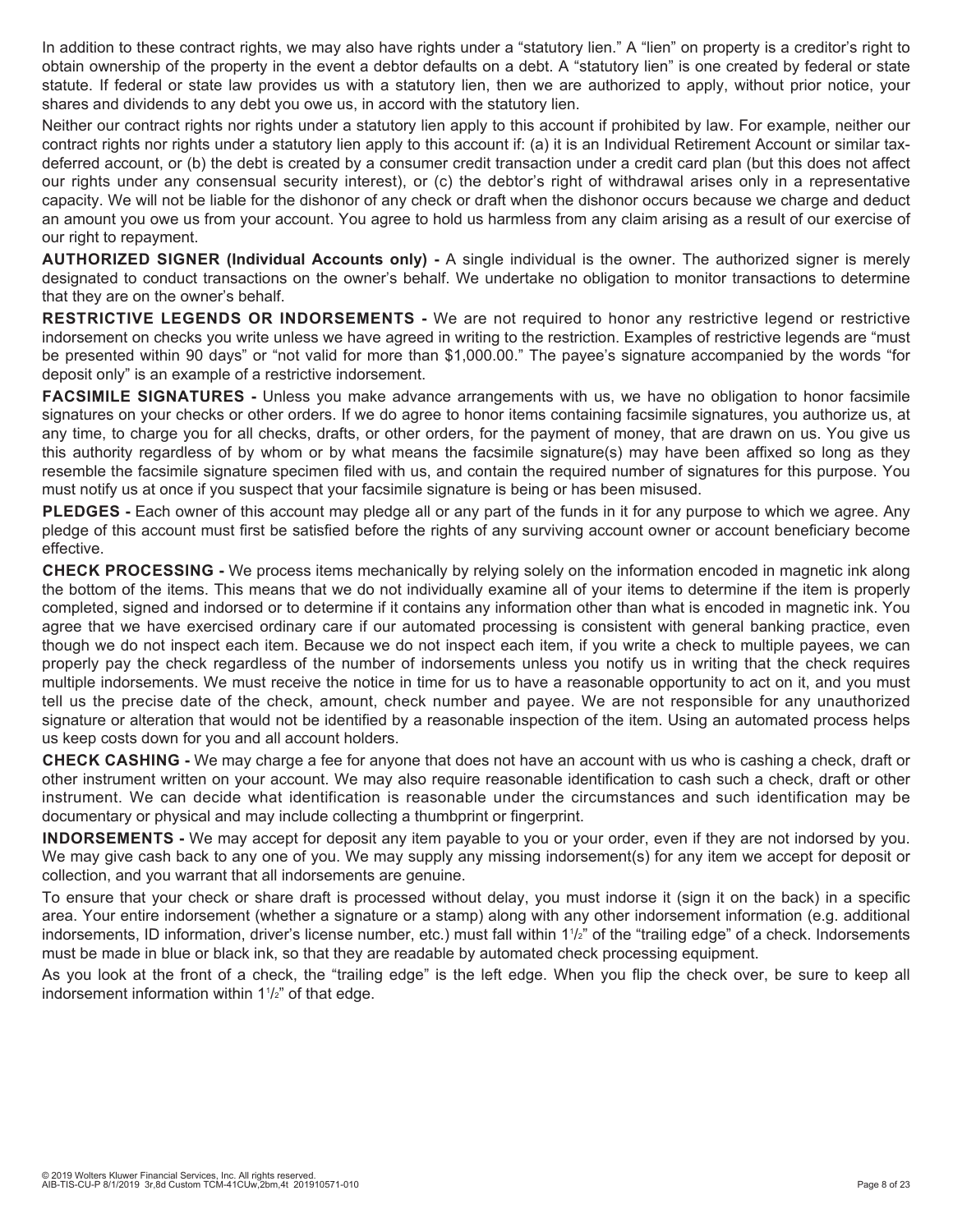In addition to these contract rights, we may also have rights under a "statutory lien." A "lien" on property is a creditor's right to obtain ownership of the property in the event a debtor defaults on a debt. A "statutory lien" is one created by federal or state statute. If federal or state law provides us with a statutory lien, then we are authorized to apply, without prior notice, your shares and dividends to any debt you owe us, in accord with the statutory lien.

Neither our contract rights nor rights under a statutory lien apply to this account if prohibited by law. For example, neither our contract rights nor rights under a statutory lien apply to this account if: (a) it is an Individual Retirement Account or similar taxdeferred account, or (b) the debt is created by a consumer credit transaction under a credit card plan (but this does not affect our rights under any consensual security interest), or (c) the debtor's right of withdrawal arises only in a representative capacity. We will not be liable for the dishonor of any check or draft when the dishonor occurs because we charge and deduct an amount you owe us from your account. You agree to hold us harmless from any claim arising as a result of our exercise of our right to repayment.

**AUTHORIZED SIGNER (Individual Accounts only) -** A single individual is the owner. The authorized signer is merely designated to conduct transactions on the owner's behalf. We undertake no obligation to monitor transactions to determine that they are on the owner's behalf.

**RESTRICTIVE LEGENDS OR INDORSEMENTS -** We are not required to honor any restrictive legend or restrictive indorsement on checks you write unless we have agreed in writing to the restriction. Examples of restrictive legends are "must be presented within 90 days" or "not valid for more than \$1,000.00." The payee's signature accompanied by the words "for deposit only" is an example of a restrictive indorsement.

**FACSIMILE SIGNATURES -** Unless you make advance arrangements with us, we have no obligation to honor facsimile signatures on your checks or other orders. If we do agree to honor items containing facsimile signatures, you authorize us, at any time, to charge you for all checks, drafts, or other orders, for the payment of money, that are drawn on us. You give us this authority regardless of by whom or by what means the facsimile signature(s) may have been affixed so long as they resemble the facsimile signature specimen filed with us, and contain the required number of signatures for this purpose. You must notify us at once if you suspect that your facsimile signature is being or has been misused.

**PLEDGES -** Each owner of this account may pledge all or any part of the funds in it for any purpose to which we agree. Any pledge of this account must first be satisfied before the rights of any surviving account owner or account beneficiary become effective.

**CHECK PROCESSING -** We process items mechanically by relying solely on the information encoded in magnetic ink along the bottom of the items. This means that we do not individually examine all of your items to determine if the item is properly completed, signed and indorsed or to determine if it contains any information other than what is encoded in magnetic ink. You agree that we have exercised ordinary care if our automated processing is consistent with general banking practice, even though we do not inspect each item. Because we do not inspect each item, if you write a check to multiple payees, we can properly pay the check regardless of the number of indorsements unless you notify us in writing that the check requires multiple indorsements. We must receive the notice in time for us to have a reasonable opportunity to act on it, and you must tell us the precise date of the check, amount, check number and payee. We are not responsible for any unauthorized signature or alteration that would not be identified by a reasonable inspection of the item. Using an automated process helps us keep costs down for you and all account holders.

**CHECK CASHING -** We may charge a fee for anyone that does not have an account with us who is cashing a check, draft or other instrument written on your account. We may also require reasonable identification to cash such a check, draft or other instrument. We can decide what identification is reasonable under the circumstances and such identification may be documentary or physical and may include collecting a thumbprint or fingerprint.

**INDORSEMENTS -** We may accept for deposit any item payable to you or your order, even if they are not indorsed by you. We may give cash back to any one of you. We may supply any missing indorsement(s) for any item we accept for deposit or collection, and you warrant that all indorsements are genuine.

To ensure that your check or share draft is processed without delay, you must indorse it (sign it on the back) in a specific area. Your entire indorsement (whether a signature or a stamp) along with any other indorsement information (e.g. additional indorsements, ID information, driver's license number, etc.) must fall within 11 /2" of the "trailing edge" of a check. Indorsements must be made in blue or black ink, so that they are readable by automated check processing equipment.

As you look at the front of a check, the "trailing edge" is the left edge. When you flip the check over, be sure to keep all indorsement information within 11 /2" of that edge.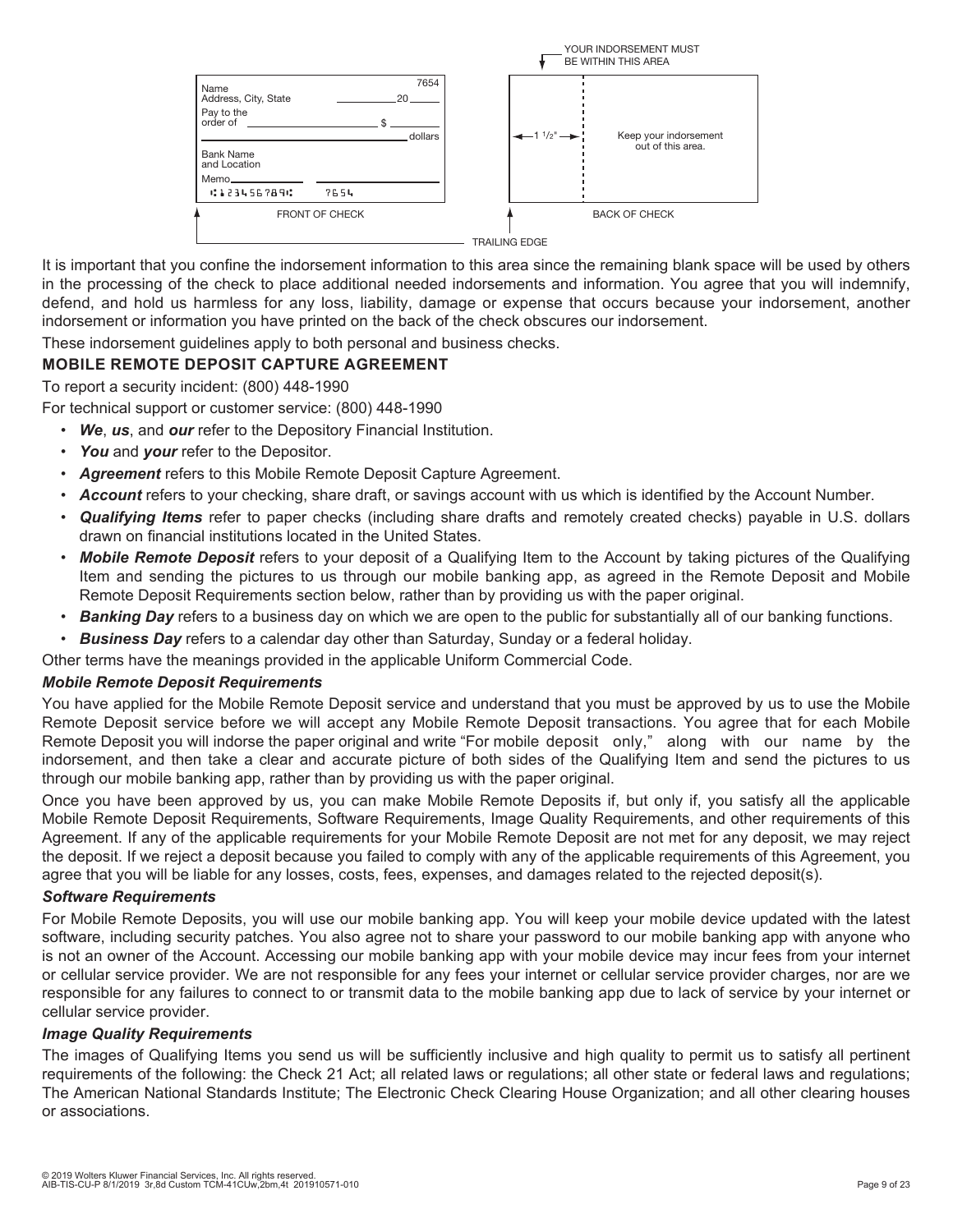

It is important that you confine the indorsement information to this area since the remaining blank space will be used by others in the processing of the check to place additional needed indorsements and information. You agree that you will indemnify, defend, and hold us harmless for any loss, liability, damage or expense that occurs because your indorsement, another indorsement or information you have printed on the back of the check obscures our indorsement.

These indorsement guidelines apply to both personal and business checks.

#### **MOBILE REMOTE DEPOSIT CAPTURE AGREEMENT**

To report a security incident: (800) 448-1990

For technical support or customer service: (800) 448-1990

- *We*, *us*, and *our* refer to the Depository Financial Institution.
- You and your refer to the Depositor.
- *Agreement* refers to this Mobile Remote Deposit Capture Agreement.
- *Account* refers to your checking, share draft, or savings account with us which is identified by the Account Number.
- *Qualifying Items* refer to paper checks (including share drafts and remotely created checks) payable in U.S. dollars drawn on financial institutions located in the United States.
- *Mobile Remote Deposit* refers to your deposit of a Qualifying Item to the Account by taking pictures of the Qualifying Item and sending the pictures to us through our mobile banking app, as agreed in the Remote Deposit and Mobile Remote Deposit Requirements section below, rather than by providing us with the paper original.
- *Banking Day* refers to a business day on which we are open to the public for substantially all of our banking functions.
- *Business Day* refers to a calendar day other than Saturday, Sunday or a federal holiday.

Other terms have the meanings provided in the applicable Uniform Commercial Code.

#### *Mobile Remote Deposit Requirements*

You have applied for the Mobile Remote Deposit service and understand that you must be approved by us to use the Mobile Remote Deposit service before we will accept any Mobile Remote Deposit transactions. You agree that for each Mobile Remote Deposit you will indorse the paper original and write "For mobile deposit only," along with our name by the indorsement, and then take a clear and accurate picture of both sides of the Qualifying Item and send the pictures to us through our mobile banking app, rather than by providing us with the paper original.

Once you have been approved by us, you can make Mobile Remote Deposits if, but only if, you satisfy all the applicable Mobile Remote Deposit Requirements, Software Requirements, Image Quality Requirements, and other requirements of this Agreement. If any of the applicable requirements for your Mobile Remote Deposit are not met for any deposit, we may reject the deposit. If we reject a deposit because you failed to comply with any of the applicable requirements of this Agreement, you agree that you will be liable for any losses, costs, fees, expenses, and damages related to the rejected deposit(s).

#### *Software Requirements*

For Mobile Remote Deposits, you will use our mobile banking app. You will keep your mobile device updated with the latest software, including security patches. You also agree not to share your password to our mobile banking app with anyone who is not an owner of the Account. Accessing our mobile banking app with your mobile device may incur fees from your internet or cellular service provider. We are not responsible for any fees your internet or cellular service provider charges, nor are we responsible for any failures to connect to or transmit data to the mobile banking app due to lack of service by your internet or cellular service provider.

#### *Image Quality Requirements*

The images of Qualifying Items you send us will be sufficiently inclusive and high quality to permit us to satisfy all pertinent requirements of the following: the Check 21 Act; all related laws or regulations; all other state or federal laws and regulations; The American National Standards Institute; The Electronic Check Clearing House Organization; and all other clearing houses or associations.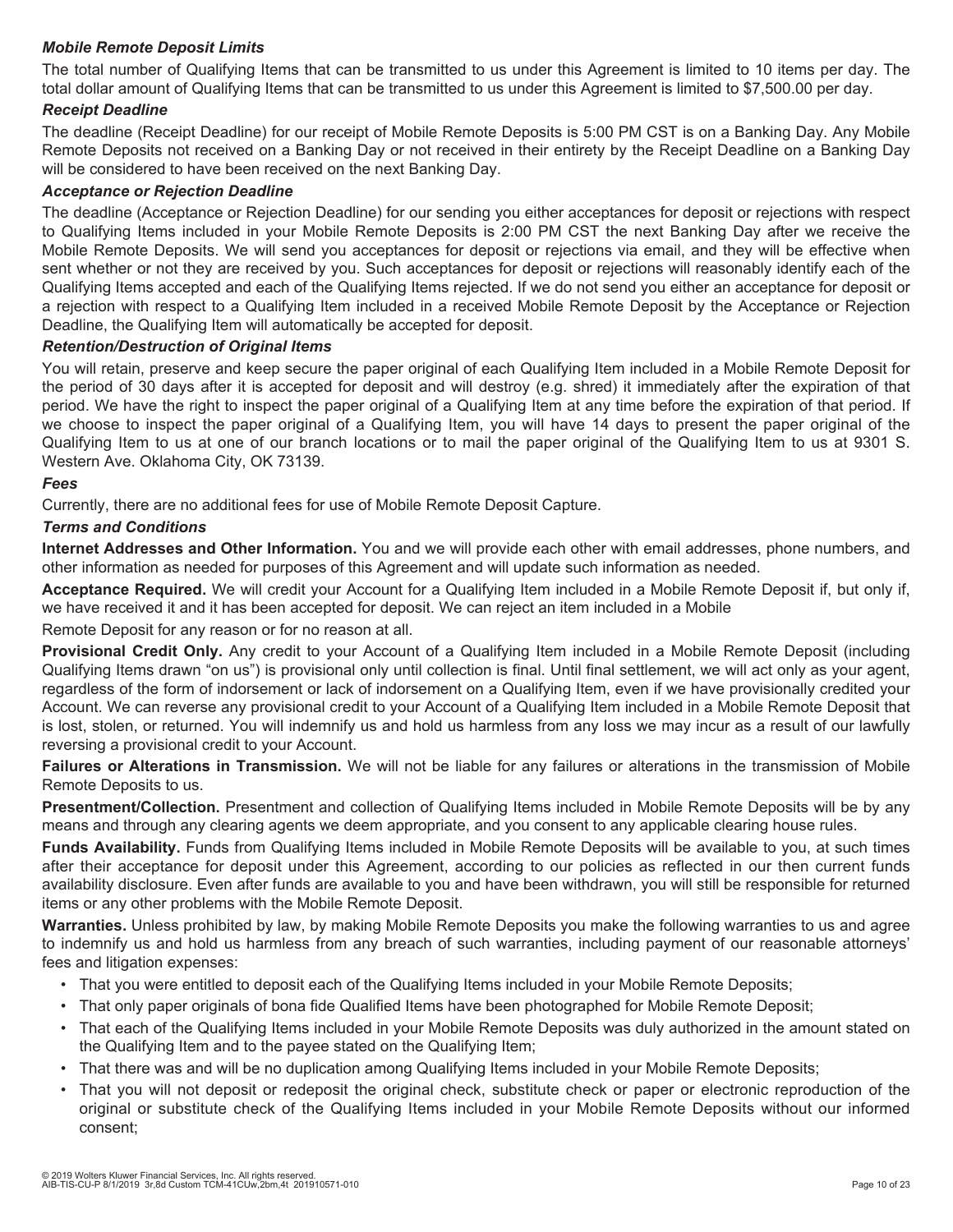#### *Mobile Remote Deposit Limits*

The total number of Qualifying Items that can be transmitted to us under this Agreement is limited to 10 items per day. The total dollar amount of Qualifying Items that can be transmitted to us under this Agreement is limited to \$7,500.00 per day.

#### *Receipt Deadline*

The deadline (Receipt Deadline) for our receipt of Mobile Remote Deposits is 5:00 PM CST is on a Banking Day. Any Mobile Remote Deposits not received on a Banking Day or not received in their entirety by the Receipt Deadline on a Banking Day will be considered to have been received on the next Banking Day.

#### *Acceptance or Rejection Deadline*

The deadline (Acceptance or Rejection Deadline) for our sending you either acceptances for deposit or rejections with respect to Qualifying Items included in your Mobile Remote Deposits is 2:00 PM CST the next Banking Day after we receive the Mobile Remote Deposits. We will send you acceptances for deposit or rejections via email, and they will be effective when sent whether or not they are received by you. Such acceptances for deposit or rejections will reasonably identify each of the Qualifying Items accepted and each of the Qualifying Items rejected. If we do not send you either an acceptance for deposit or a rejection with respect to a Qualifying Item included in a received Mobile Remote Deposit by the Acceptance or Rejection Deadline, the Qualifying Item will automatically be accepted for deposit.

#### *Retention/Destruction of Original Items*

You will retain, preserve and keep secure the paper original of each Qualifying Item included in a Mobile Remote Deposit for the period of 30 days after it is accepted for deposit and will destroy (e.g. shred) it immediately after the expiration of that period. We have the right to inspect the paper original of a Qualifying Item at any time before the expiration of that period. If we choose to inspect the paper original of a Qualifying Item, you will have 14 days to present the paper original of the Qualifying Item to us at one of our branch locations or to mail the paper original of the Qualifying Item to us at 9301 S. Western Ave. Oklahoma City, OK 73139.

#### *Fees*

Currently, there are no additional fees for use of Mobile Remote Deposit Capture.

#### *Terms and Conditions*

**Internet Addresses and Other Information.** You and we will provide each other with email addresses, phone numbers, and other information as needed for purposes of this Agreement and will update such information as needed.

**Acceptance Required.** We will credit your Account for a Qualifying Item included in a Mobile Remote Deposit if, but only if, we have received it and it has been accepted for deposit. We can reject an item included in a Mobile

Remote Deposit for any reason or for no reason at all.

**Provisional Credit Only.** Any credit to your Account of a Qualifying Item included in a Mobile Remote Deposit (including Qualifying Items drawn "on us") is provisional only until collection is final. Until final settlement, we will act only as your agent, regardless of the form of indorsement or lack of indorsement on a Qualifying Item, even if we have provisionally credited your Account. We can reverse any provisional credit to your Account of a Qualifying Item included in a Mobile Remote Deposit that is lost, stolen, or returned. You will indemnify us and hold us harmless from any loss we may incur as a result of our lawfully reversing a provisional credit to your Account.

**Failures or Alterations in Transmission.** We will not be liable for any failures or alterations in the transmission of Mobile Remote Deposits to us.

**Presentment/Collection.** Presentment and collection of Qualifying Items included in Mobile Remote Deposits will be by any means and through any clearing agents we deem appropriate, and you consent to any applicable clearing house rules.

Funds Availability. Funds from Qualifying Items included in Mobile Remote Deposits will be available to you, at such times after their acceptance for deposit under this Agreement, according to our policies as reflected in our then current funds availability disclosure. Even after funds are available to you and have been withdrawn, you will still be responsible for returned items or any other problems with the Mobile Remote Deposit.

**Warranties.** Unless prohibited by law, by making Mobile Remote Deposits you make the following warranties to us and agree to indemnify us and hold us harmless from any breach of such warranties, including payment of our reasonable attorneys' fees and litigation expenses:

- That you were entitled to deposit each of the Qualifying Items included in your Mobile Remote Deposits;
- That only paper originals of bona fide Qualified Items have been photographed for Mobile Remote Deposit;
- That each of the Qualifying Items included in your Mobile Remote Deposits was duly authorized in the amount stated on the Qualifying Item and to the payee stated on the Qualifying Item;
- That there was and will be no duplication among Qualifying Items included in your Mobile Remote Deposits;
- That you will not deposit or redeposit the original check, substitute check or paper or electronic reproduction of the original or substitute check of the Qualifying Items included in your Mobile Remote Deposits without our informed consent;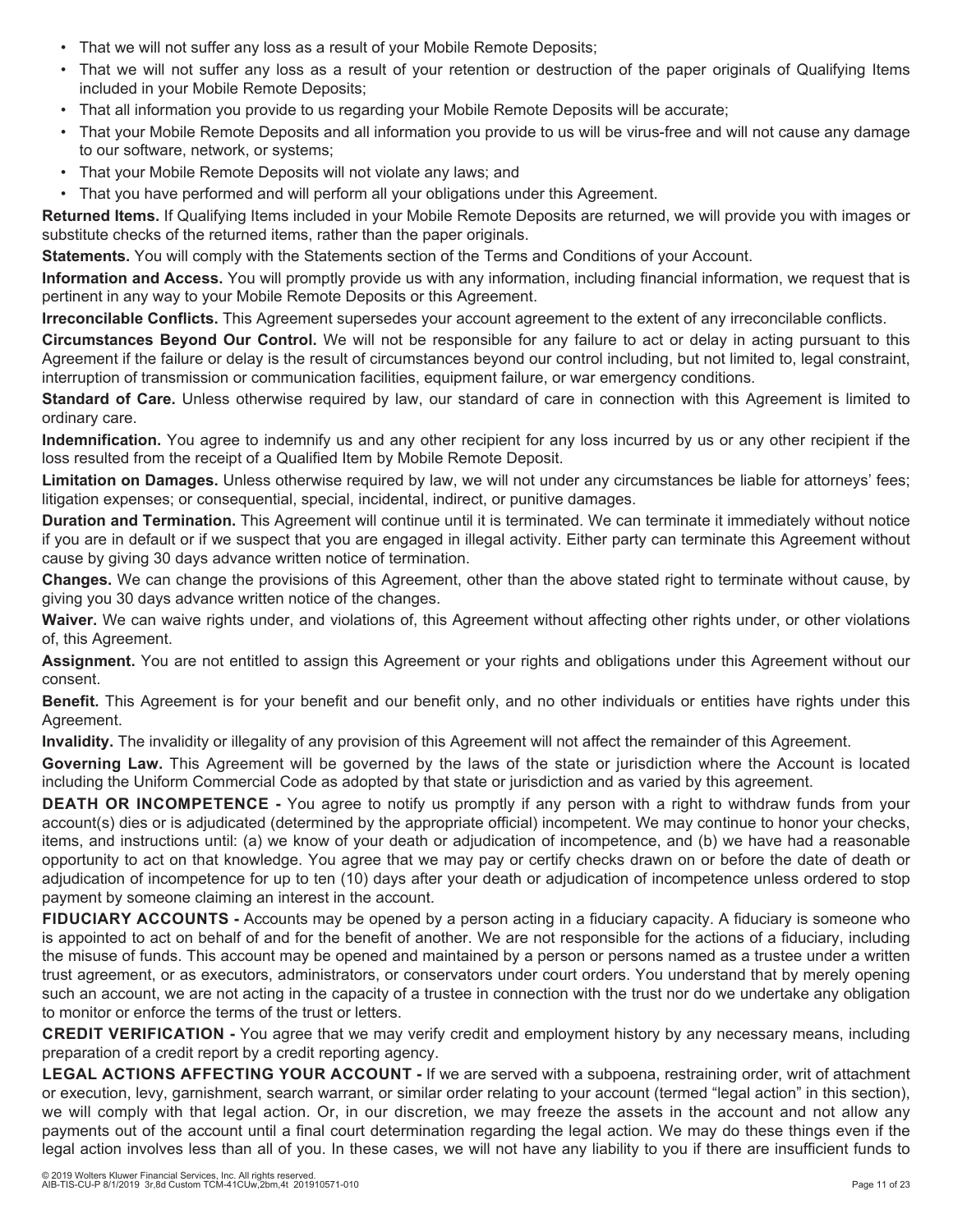- That we will not suffer any loss as a result of your Mobile Remote Deposits;
- That we will not suffer any loss as a result of your retention or destruction of the paper originals of Qualifying Items included in your Mobile Remote Deposits;
- That all information you provide to us regarding your Mobile Remote Deposits will be accurate;
- That your Mobile Remote Deposits and all information you provide to us will be virus-free and will not cause any damage to our software, network, or systems;
- That your Mobile Remote Deposits will not violate any laws; and
- That you have performed and will perform all your obligations under this Agreement.

**Returned Items.** If Qualifying Items included in your Mobile Remote Deposits are returned, we will provide you with images or substitute checks of the returned items, rather than the paper originals.

**Statements.** You will comply with the Statements section of the Terms and Conditions of your Account.

**Information and Access.** You will promptly provide us with any information, including financial information, we request that is pertinent in any way to your Mobile Remote Deposits or this Agreement.

**Irreconcilable Conflicts.** This Agreement supersedes your account agreement to the extent of any irreconcilable conflicts.

**Circumstances Beyond Our Control.** We will not be responsible for any failure to act or delay in acting pursuant to this Agreement if the failure or delay is the result of circumstances beyond our control including, but not limited to, legal constraint, interruption of transmission or communication facilities, equipment failure, or war emergency conditions.

**Standard of Care.** Unless otherwise required by law, our standard of care in connection with this Agreement is limited to ordinary care.

**Indemnification.** You agree to indemnify us and any other recipient for any loss incurred by us or any other recipient if the loss resulted from the receipt of a Qualified Item by Mobile Remote Deposit.

**Limitation on Damages.** Unless otherwise required by law, we will not under any circumstances be liable for attorneys' fees; litigation expenses; or consequential, special, incidental, indirect, or punitive damages.

**Duration and Termination.** This Agreement will continue until it is terminated. We can terminate it immediately without notice if you are in default or if we suspect that you are engaged in illegal activity. Either party can terminate this Agreement without cause by giving 30 days advance written notice of termination.

**Changes.** We can change the provisions of this Agreement, other than the above stated right to terminate without cause, by giving you 30 days advance written notice of the changes.

**Waiver.** We can waive rights under, and violations of, this Agreement without affecting other rights under, or other violations of, this Agreement.

**Assignment.** You are not entitled to assign this Agreement or your rights and obligations under this Agreement without our consent.

**Benefit.** This Agreement is for your benefit and our benefit only, and no other individuals or entities have rights under this Agreement.

**Invalidity.** The invalidity or illegality of any provision of this Agreement will not affect the remainder of this Agreement.

**Governing Law.** This Agreement will be governed by the laws of the state or jurisdiction where the Account is located including the Uniform Commercial Code as adopted by that state or jurisdiction and as varied by this agreement.

**DEATH OR INCOMPETENCE -** You agree to notify us promptly if any person with a right to withdraw funds from your account(s) dies or is adjudicated (determined by the appropriate official) incompetent. We may continue to honor your checks, items, and instructions until: (a) we know of your death or adjudication of incompetence, and (b) we have had a reasonable opportunity to act on that knowledge. You agree that we may pay or certify checks drawn on or before the date of death or adjudication of incompetence for up to ten (10) days after your death or adjudication of incompetence unless ordered to stop payment by someone claiming an interest in the account.

**FIDUCIARY ACCOUNTS -** Accounts may be opened by a person acting in a fiduciary capacity. A fiduciary is someone who is appointed to act on behalf of and for the benefit of another. We are not responsible for the actions of a fiduciary, including the misuse of funds. This account may be opened and maintained by a person or persons named as a trustee under a written trust agreement, or as executors, administrators, or conservators under court orders. You understand that by merely opening such an account, we are not acting in the capacity of a trustee in connection with the trust nor do we undertake any obligation to monitor or enforce the terms of the trust or letters.

**CREDIT VERIFICATION -** You agree that we may verify credit and employment history by any necessary means, including preparation of a credit report by a credit reporting agency.

**LEGAL ACTIONS AFFECTING YOUR ACCOUNT -** If we are served with a subpoena, restraining order, writ of attachment or execution, levy, garnishment, search warrant, or similar order relating to your account (termed "legal action" in this section), we will comply with that legal action. Or, in our discretion, we may freeze the assets in the account and not allow any payments out of the account until a final court determination regarding the legal action. We may do these things even if the legal action involves less than all of you. In these cases, we will not have any liability to you if there are insufficient funds to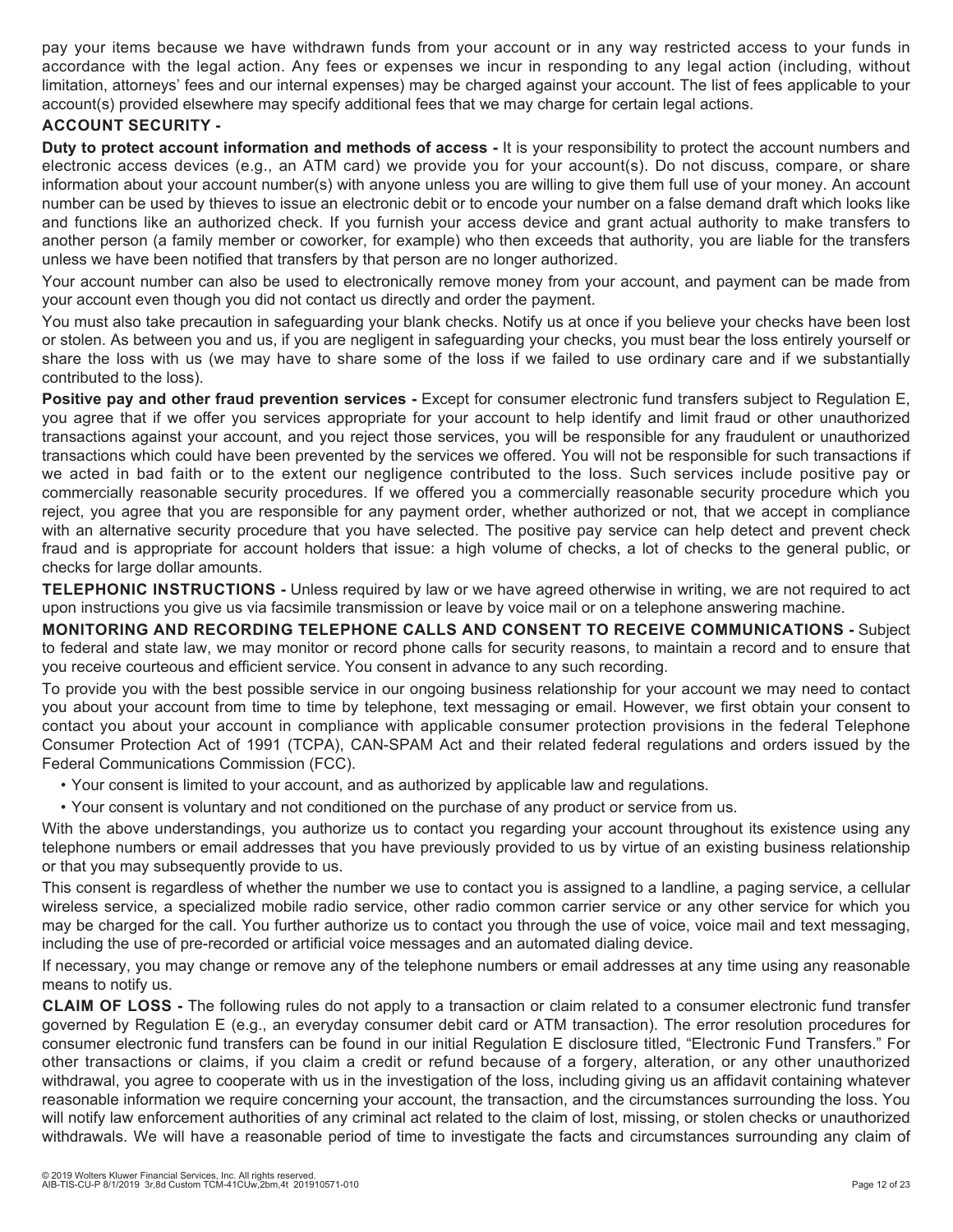pay your items because we have withdrawn funds from your account or in any way restricted access to your funds in accordance with the legal action. Any fees or expenses we incur in responding to any legal action (including, without limitation, attorneys' fees and our internal expenses) may be charged against your account. The list of fees applicable to your account(s) provided elsewhere may specify additional fees that we may charge for certain legal actions.

#### **ACCOUNT SECURITY -**

**Duty to protect account information and methods of access -** It is your responsibility to protect the account numbers and electronic access devices (e.g., an ATM card) we provide you for your account(s). Do not discuss, compare, or share information about your account number(s) with anyone unless you are willing to give them full use of your money. An account number can be used by thieves to issue an electronic debit or to encode your number on a false demand draft which looks like and functions like an authorized check. If you furnish your access device and grant actual authority to make transfers to another person (a family member or coworker, for example) who then exceeds that authority, you are liable for the transfers unless we have been notified that transfers by that person are no longer authorized.

Your account number can also be used to electronically remove money from your account, and payment can be made from your account even though you did not contact us directly and order the payment.

You must also take precaution in safeguarding your blank checks. Notify us at once if you believe your checks have been lost or stolen. As between you and us, if you are negligent in safeguarding your checks, you must bear the loss entirely yourself or share the loss with us (we may have to share some of the loss if we failed to use ordinary care and if we substantially contributed to the loss).

**Positive pay and other fraud prevention services -** Except for consumer electronic fund transfers subject to Regulation E, you agree that if we offer you services appropriate for your account to help identify and limit fraud or other unauthorized transactions against your account, and you reject those services, you will be responsible for any fraudulent or unauthorized transactions which could have been prevented by the services we offered. You will not be responsible for such transactions if we acted in bad faith or to the extent our negligence contributed to the loss. Such services include positive pay or commercially reasonable security procedures. If we offered you a commercially reasonable security procedure which you reject, you agree that you are responsible for any payment order, whether authorized or not, that we accept in compliance with an alternative security procedure that you have selected. The positive pay service can help detect and prevent check fraud and is appropriate for account holders that issue: a high volume of checks, a lot of checks to the general public, or checks for large dollar amounts.

**TELEPHONIC INSTRUCTIONS -** Unless required by law or we have agreed otherwise in writing, we are not required to act upon instructions you give us via facsimile transmission or leave by voice mail or on a telephone answering machine.

**MONITORING AND RECORDING TELEPHONE CALLS AND CONSENT TO RECEIVE COMMUNICATIONS -** Subject to federal and state law, we may monitor or record phone calls for security reasons, to maintain a record and to ensure that you receive courteous and efficient service. You consent in advance to any such recording.

To provide you with the best possible service in our ongoing business relationship for your account we may need to contact you about your account from time to time by telephone, text messaging or email. However, we first obtain your consent to contact you about your account in compliance with applicable consumer protection provisions in the federal Telephone Consumer Protection Act of 1991 (TCPA), CAN-SPAM Act and their related federal regulations and orders issued by the Federal Communications Commission (FCC).

- Your consent is limited to your account, and as authorized by applicable law and regulations.
- Your consent is voluntary and not conditioned on the purchase of any product or service from us.

With the above understandings, you authorize us to contact you regarding your account throughout its existence using any telephone numbers or email addresses that you have previously provided to us by virtue of an existing business relationship or that you may subsequently provide to us.

This consent is regardless of whether the number we use to contact you is assigned to a landline, a paging service, a cellular wireless service, a specialized mobile radio service, other radio common carrier service or any other service for which you may be charged for the call. You further authorize us to contact you through the use of voice, voice mail and text messaging, including the use of pre-recorded or artificial voice messages and an automated dialing device.

If necessary, you may change or remove any of the telephone numbers or email addresses at any time using any reasonable means to notify us.

**CLAIM OF LOSS -** The following rules do not apply to a transaction or claim related to a consumer electronic fund transfer governed by Regulation E (e.g., an everyday consumer debit card or ATM transaction). The error resolution procedures for consumer electronic fund transfers can be found in our initial Regulation E disclosure titled, "Electronic Fund Transfers." For other transactions or claims, if you claim a credit or refund because of a forgery, alteration, or any other unauthorized withdrawal, you agree to cooperate with us in the investigation of the loss, including giving us an affidavit containing whatever reasonable information we require concerning your account, the transaction, and the circumstances surrounding the loss. You will notify law enforcement authorities of any criminal act related to the claim of lost, missing, or stolen checks or unauthorized withdrawals. We will have a reasonable period of time to investigate the facts and circumstances surrounding any claim of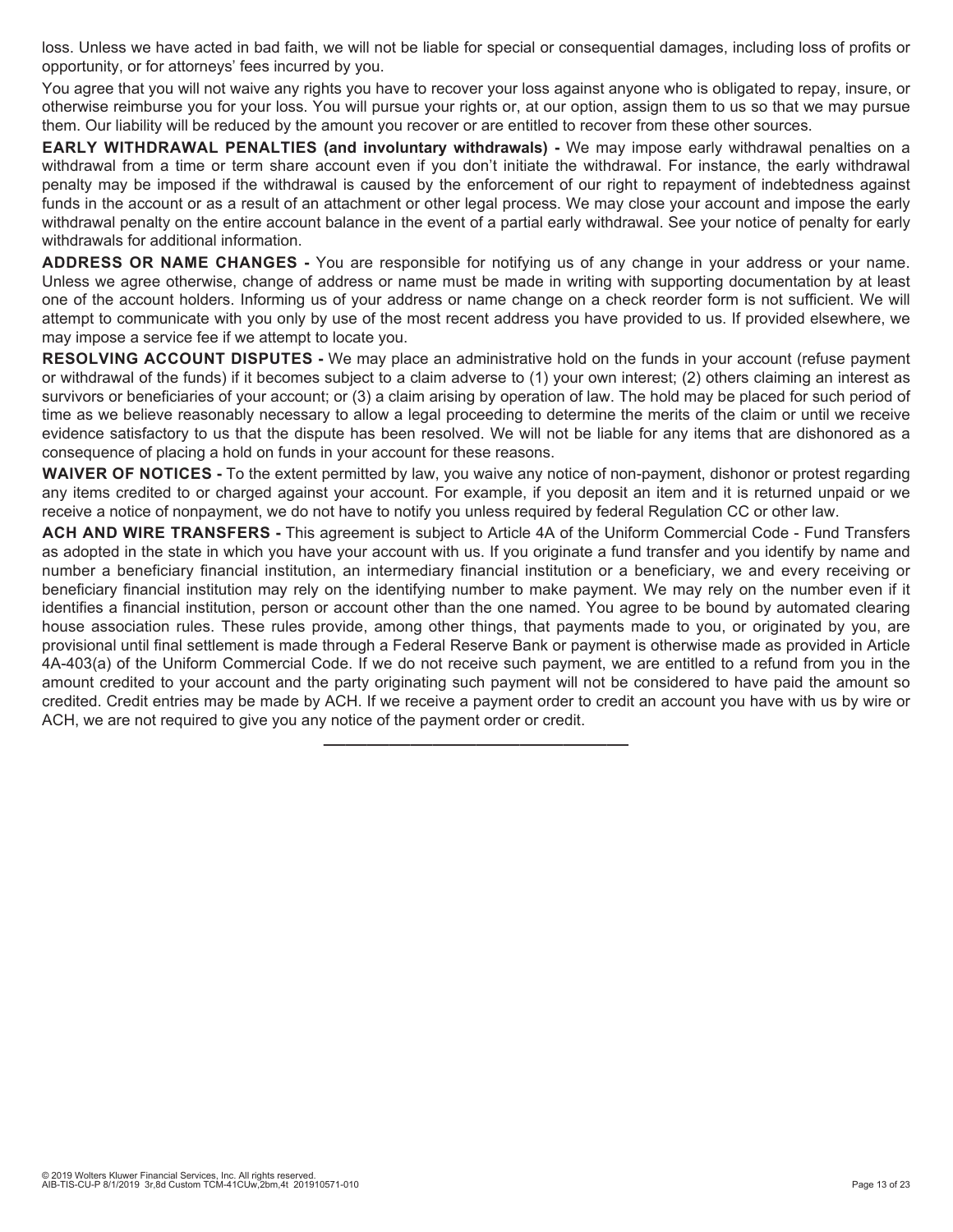loss. Unless we have acted in bad faith, we will not be liable for special or consequential damages, including loss of profits or opportunity, or for attorneys' fees incurred by you.

You agree that you will not waive any rights you have to recover your loss against anyone who is obligated to repay, insure, or otherwise reimburse you for your loss. You will pursue your rights or, at our option, assign them to us so that we may pursue them. Our liability will be reduced by the amount you recover or are entitled to recover from these other sources.

**EARLY WITHDRAWAL PENALTIES (and involuntary withdrawals) -** We may impose early withdrawal penalties on a withdrawal from a time or term share account even if you don't initiate the withdrawal. For instance, the early withdrawal penalty may be imposed if the withdrawal is caused by the enforcement of our right to repayment of indebtedness against funds in the account or as a result of an attachment or other legal process. We may close your account and impose the early withdrawal penalty on the entire account balance in the event of a partial early withdrawal. See your notice of penalty for early withdrawals for additional information.

**ADDRESS OR NAME CHANGES -** You are responsible for notifying us of any change in your address or your name. Unless we agree otherwise, change of address or name must be made in writing with supporting documentation by at least one of the account holders. Informing us of your address or name change on a check reorder form is not sufficient. We will attempt to communicate with you only by use of the most recent address you have provided to us. If provided elsewhere, we may impose a service fee if we attempt to locate you.

**RESOLVING ACCOUNT DISPUTES -** We may place an administrative hold on the funds in your account (refuse payment or withdrawal of the funds) if it becomes subject to a claim adverse to (1) your own interest; (2) others claiming an interest as survivors or beneficiaries of your account; or (3) a claim arising by operation of law. The hold may be placed for such period of time as we believe reasonably necessary to allow a legal proceeding to determine the merits of the claim or until we receive evidence satisfactory to us that the dispute has been resolved. We will not be liable for any items that are dishonored as a consequence of placing a hold on funds in your account for these reasons.

**WAIVER OF NOTICES -** To the extent permitted by law, you waive any notice of non-payment, dishonor or protest regarding any items credited to or charged against your account. For example, if you deposit an item and it is returned unpaid or we receive a notice of nonpayment, we do not have to notify you unless required by federal Regulation CC or other law.

**ACH AND WIRE TRANSFERS -** This agreement is subject to Article 4A of the Uniform Commercial Code - Fund Transfers as adopted in the state in which you have your account with us. If you originate a fund transfer and you identify by name and number a beneficiary financial institution, an intermediary financial institution or a beneficiary, we and every receiving or beneficiary financial institution may rely on the identifying number to make payment. We may rely on the number even if it identifies a financial institution, person or account other than the one named. You agree to be bound by automated clearing house association rules. These rules provide, among other things, that payments made to you, or originated by you, are provisional until final settlement is made through a Federal Reserve Bank or payment is otherwise made as provided in Article 4A-403(a) of the Uniform Commercial Code. If we do not receive such payment, we are entitled to a refund from you in the amount credited to your account and the party originating such payment will not be considered to have paid the amount so credited. Credit entries may be made by ACH. If we receive a payment order to credit an account you have with us by wire or ACH, we are not required to give you any notice of the payment order or credit.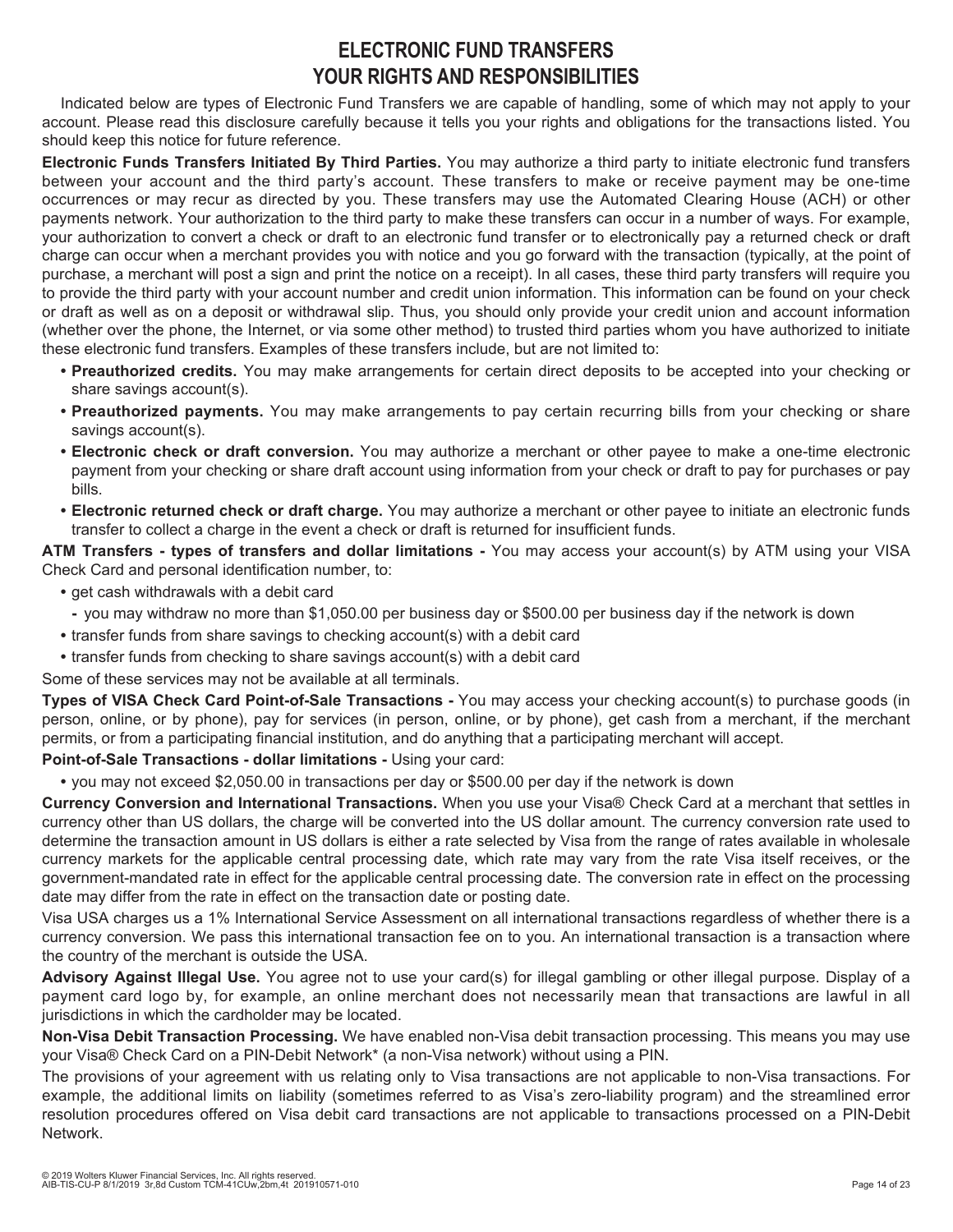## **ELECTRONIC FUND TRANSFERS YOUR RIGHTS AND RESPONSIBILITIES**

Indicated below are types of Electronic Fund Transfers we are capable of handling, some of which may not apply to your account. Please read this disclosure carefully because it tells you your rights and obligations for the transactions listed. You should keep this notice for future reference.

**Electronic Funds Transfers Initiated By Third Parties.** You may authorize a third party to initiate electronic fund transfers between your account and the third party's account. These transfers to make or receive payment may be one-time occurrences or may recur as directed by you. These transfers may use the Automated Clearing House (ACH) or other payments network. Your authorization to the third party to make these transfers can occur in a number of ways. For example, your authorization to convert a check or draft to an electronic fund transfer or to electronically pay a returned check or draft charge can occur when a merchant provides you with notice and you go forward with the transaction (typically, at the point of purchase, a merchant will post a sign and print the notice on a receipt). In all cases, these third party transfers will require you to provide the third party with your account number and credit union information. This information can be found on your check or draft as well as on a deposit or withdrawal slip. Thus, you should only provide your credit union and account information (whether over the phone, the Internet, or via some other method) to trusted third parties whom you have authorized to initiate these electronic fund transfers. Examples of these transfers include, but are not limited to:

- **Preauthorized credits.** You may make arrangements for certain direct deposits to be accepted into your checking or share savings account(s).
- **Preauthorized payments.** You may make arrangements to pay certain recurring bills from your checking or share savings account(s).
- **Electronic check or draft conversion.** You may authorize a merchant or other payee to make a one-time electronic payment from your checking or share draft account using information from your check or draft to pay for purchases or pay bills.
- **Electronic returned check or draft charge.** You may authorize a merchant or other payee to initiate an electronic funds transfer to collect a charge in the event a check or draft is returned for insufficient funds.

**ATM Transfers - types of transfers and dollar limitations -** You may access your account(s) by ATM using your VISA Check Card and personal identification number, to:

- **•** get cash withdrawals with a debit card
- **-** you may withdraw no more than \$1,050.00 per business day or \$500.00 per business day if the network is down
- **•** transfer funds from share savings to checking account(s) with a debit card
- **•** transfer funds from checking to share savings account(s) with a debit card

Some of these services may not be available at all terminals.

**Types of VISA Check Card Point-of-Sale Transactions -** You may access your checking account(s) to purchase goods (in person, online, or by phone), pay for services (in person, online, or by phone), get cash from a merchant, if the merchant permits, or from a participating financial institution, and do anything that a participating merchant will accept.

**Point-of-Sale Transactions - dollar limitations -** Using your card:

**•** you may not exceed \$2,050.00 in transactions per day or \$500.00 per day if the network is down

**Currency Conversion and International Transactions.** When you use your Visa® Check Card at a merchant that settles in currency other than US dollars, the charge will be converted into the US dollar amount. The currency conversion rate used to determine the transaction amount in US dollars is either a rate selected by Visa from the range of rates available in wholesale currency markets for the applicable central processing date, which rate may vary from the rate Visa itself receives, or the government-mandated rate in effect for the applicable central processing date. The conversion rate in effect on the processing date may differ from the rate in effect on the transaction date or posting date.

Visa USA charges us a 1% International Service Assessment on all international transactions regardless of whether there is a currency conversion. We pass this international transaction fee on to you. An international transaction is a transaction where the country of the merchant is outside the USA.

**Advisory Against Illegal Use.** You agree not to use your card(s) for illegal gambling or other illegal purpose. Display of a payment card logo by, for example, an online merchant does not necessarily mean that transactions are lawful in all jurisdictions in which the cardholder may be located.

**Non-Visa Debit Transaction Processing.** We have enabled non-Visa debit transaction processing. This means you may use your Visa® Check Card on a PIN-Debit Network\* (a non-Visa network) without using a PIN.

The provisions of your agreement with us relating only to Visa transactions are not applicable to non-Visa transactions. For example, the additional limits on liability (sometimes referred to as Visa's zero-liability program) and the streamlined error resolution procedures offered on Visa debit card transactions are not applicable to transactions processed on a PIN-Debit Network.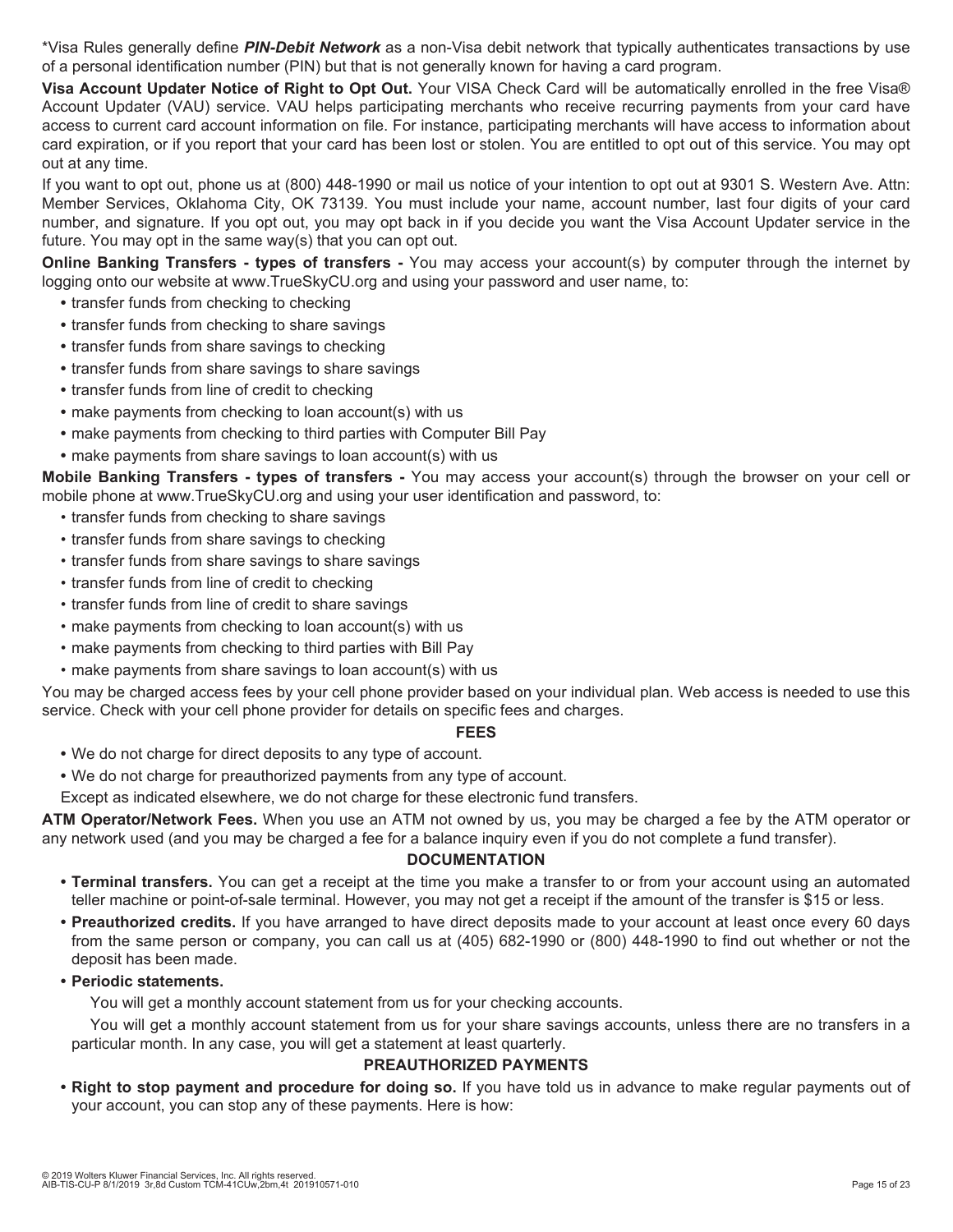\*Visa Rules generally define *PIN-Debit Network* as a non-Visa debit network that typically authenticates transactions by use of a personal identification number (PIN) but that is not generally known for having a card program.

**Visa Account Updater Notice of Right to Opt Out.** Your VISA Check Card will be automatically enrolled in the free Visa® Account Updater (VAU) service. VAU helps participating merchants who receive recurring payments from your card have access to current card account information on file. For instance, participating merchants will have access to information about card expiration, or if you report that your card has been lost or stolen. You are entitled to opt out of this service. You may opt out at any time.

If you want to opt out, phone us at (800) 448-1990 or mail us notice of your intention to opt out at 9301 S. Western Ave. Attn: Member Services, Oklahoma City, OK 73139. You must include your name, account number, last four digits of your card number, and signature. If you opt out, you may opt back in if you decide you want the Visa Account Updater service in the future. You may opt in the same way(s) that you can opt out.

**Online Banking Transfers - types of transfers -** You may access your account(s) by computer through the internet by logging onto our website at www.TrueSkyCU.org and using your password and user name, to:

- **•** transfer funds from checking to checking
- **•** transfer funds from checking to share savings
- **•** transfer funds from share savings to checking
- **•** transfer funds from share savings to share savings
- **•** transfer funds from line of credit to checking
- **•** make payments from checking to loan account(s) with us
- **•** make payments from checking to third parties with Computer Bill Pay
- **•** make payments from share savings to loan account(s) with us

**Mobile Banking Transfers - types of transfers -** You may access your account(s) through the browser on your cell or mobile phone at www.TrueSkyCU.org and using your user identification and password, to:

- transfer funds from checking to share savings
- transfer funds from share savings to checking
- transfer funds from share savings to share savings
- transfer funds from line of credit to checking
- transfer funds from line of credit to share savings
- make payments from checking to loan account(s) with us
- make payments from checking to third parties with Bill Pay
- make payments from share savings to loan account(s) with us

You may be charged access fees by your cell phone provider based on your individual plan. Web access is needed to use this service. Check with your cell phone provider for details on specific fees and charges.

#### **FEES**

- **•** We do not charge for direct deposits to any type of account.
- **•** We do not charge for preauthorized payments from any type of account.

Except as indicated elsewhere, we do not charge for these electronic fund transfers.

**ATM Operator/Network Fees.** When you use an ATM not owned by us, you may be charged a fee by the ATM operator or any network used (and you may be charged a fee for a balance inquiry even if you do not complete a fund transfer).

#### **DOCUMENTATION**

- **Terminal transfers.** You can get a receipt at the time you make a transfer to or from your account using an automated teller machine or point-of-sale terminal. However, you may not get a receipt if the amount of the transfer is \$15 or less.
- **Preauthorized credits.** If you have arranged to have direct deposits made to your account at least once every 60 days from the same person or company, you can call us at (405) 682-1990 or (800) 448-1990 to find out whether or not the deposit has been made.
- **Periodic statements.**

You will get a monthly account statement from us for your checking accounts.

You will get a monthly account statement from us for your share savings accounts, unless there are no transfers in a particular month. In any case, you will get a statement at least quarterly.

#### **PREAUTHORIZED PAYMENTS**

**• Right to stop payment and procedure for doing so.** If you have told us in advance to make regular payments out of your account, you can stop any of these payments. Here is how: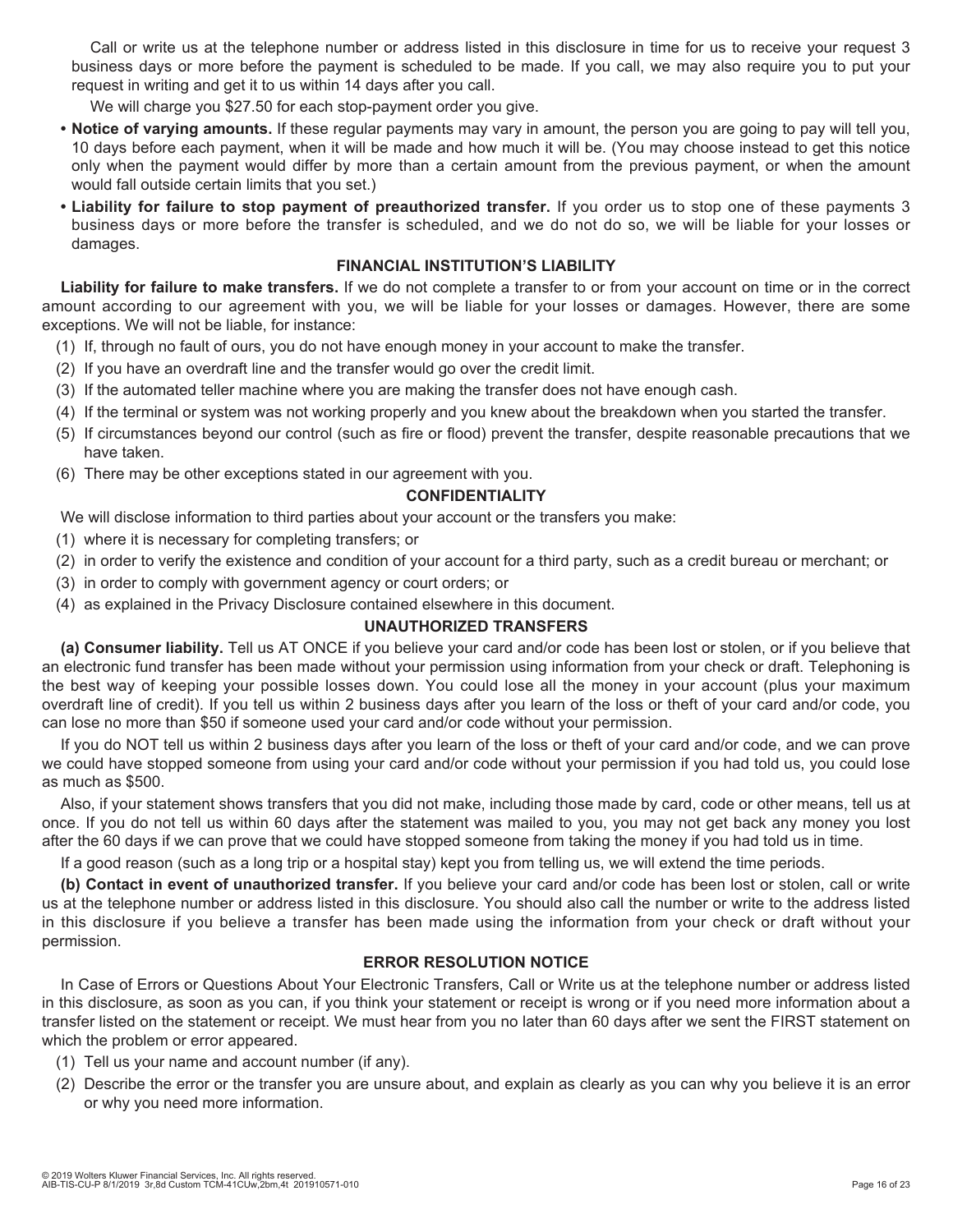Call or write us at the telephone number or address listed in this disclosure in time for us to receive your request 3 business days or more before the payment is scheduled to be made. If you call, we may also require you to put your request in writing and get it to us within 14 days after you call.

We will charge you \$27.50 for each stop-payment order you give.

- **Notice of varying amounts.** If these regular payments may vary in amount, the person you are going to pay will tell you, 10 days before each payment, when it will be made and how much it will be. (You may choose instead to get this notice only when the payment would differ by more than a certain amount from the previous payment, or when the amount would fall outside certain limits that you set.)
- **Liability for failure to stop payment of preauthorized transfer.** If you order us to stop one of these payments 3 business days or more before the transfer is scheduled, and we do not do so, we will be liable for your losses or damages.

#### **FINANCIAL INSTITUTION'S LIABILITY**

**Liability for failure to make transfers.** If we do not complete a transfer to or from your account on time or in the correct amount according to our agreement with you, we will be liable for your losses or damages. However, there are some exceptions. We will not be liable, for instance:

- (1) If, through no fault of ours, you do not have enough money in your account to make the transfer.
- (2) If you have an overdraft line and the transfer would go over the credit limit.
- (3) If the automated teller machine where you are making the transfer does not have enough cash.
- (4) If the terminal or system was not working properly and you knew about the breakdown when you started the transfer.
- (5) If circumstances beyond our control (such as fire or flood) prevent the transfer, despite reasonable precautions that we have taken.
- (6) There may be other exceptions stated in our agreement with you.

#### **CONFIDENTIALITY**

We will disclose information to third parties about your account or the transfers you make:

- (1) where it is necessary for completing transfers; or
- (2) in order to verify the existence and condition of your account for a third party, such as a credit bureau or merchant; or
- (3) in order to comply with government agency or court orders; or
- (4) as explained in the Privacy Disclosure contained elsewhere in this document.

#### **UNAUTHORIZED TRANSFERS**

**(a) Consumer liability.** Tell us AT ONCE if you believe your card and/or code has been lost or stolen, or if you believe that an electronic fund transfer has been made without your permission using information from your check or draft. Telephoning is the best way of keeping your possible losses down. You could lose all the money in your account (plus your maximum overdraft line of credit). If you tell us within 2 business days after you learn of the loss or theft of your card and/or code, you can lose no more than \$50 if someone used your card and/or code without your permission.

If you do NOT tell us within 2 business days after you learn of the loss or theft of your card and/or code, and we can prove we could have stopped someone from using your card and/or code without your permission if you had told us, you could lose as much as \$500.

Also, if your statement shows transfers that you did not make, including those made by card, code or other means, tell us at once. If you do not tell us within 60 days after the statement was mailed to you, you may not get back any money you lost after the 60 days if we can prove that we could have stopped someone from taking the money if you had told us in time.

If a good reason (such as a long trip or a hospital stay) kept you from telling us, we will extend the time periods.

**(b) Contact in event of unauthorized transfer.** If you believe your card and/or code has been lost or stolen, call or write us at the telephone number or address listed in this disclosure. You should also call the number or write to the address listed in this disclosure if you believe a transfer has been made using the information from your check or draft without your permission.

#### **ERROR RESOLUTION NOTICE**

In Case of Errors or Questions About Your Electronic Transfers, Call or Write us at the telephone number or address listed in this disclosure, as soon as you can, if you think your statement or receipt is wrong or if you need more information about a transfer listed on the statement or receipt. We must hear from you no later than 60 days after we sent the FIRST statement on which the problem or error appeared.

- (1) Tell us your name and account number (if any).
- (2) Describe the error or the transfer you are unsure about, and explain as clearly as you can why you believe it is an error or why you need more information.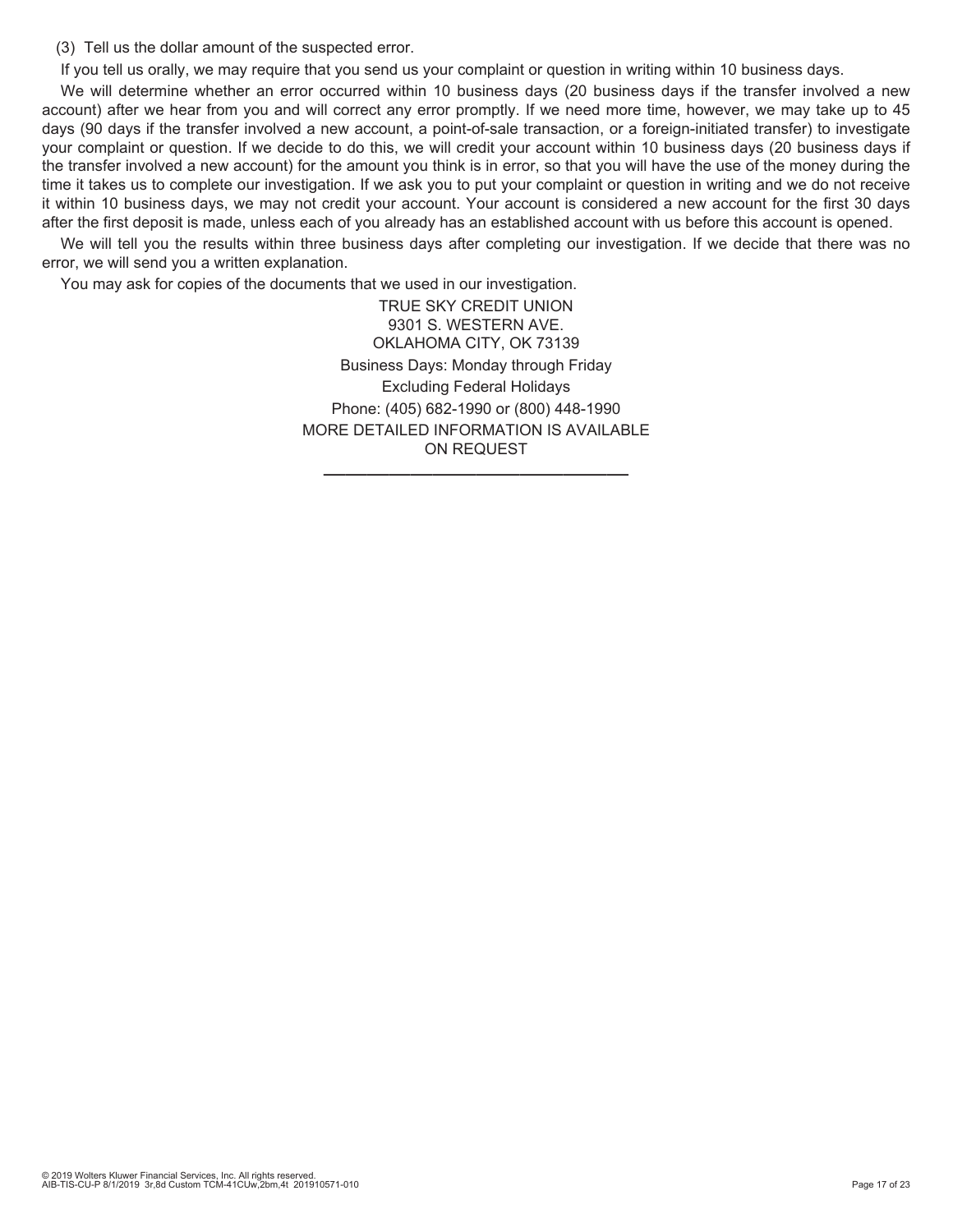(3) Tell us the dollar amount of the suspected error.

If you tell us orally, we may require that you send us your complaint or question in writing within 10 business days.

We will determine whether an error occurred within 10 business days (20 business days if the transfer involved a new account) after we hear from you and will correct any error promptly. If we need more time, however, we may take up to 45 days (90 days if the transfer involved a new account, a point-of-sale transaction, or a foreign-initiated transfer) to investigate your complaint or question. If we decide to do this, we will credit your account within 10 business days (20 business days if the transfer involved a new account) for the amount you think is in error, so that you will have the use of the money during the time it takes us to complete our investigation. If we ask you to put your complaint or question in writing and we do not receive it within 10 business days, we may not credit your account. Your account is considered a new account for the first 30 days after the first deposit is made, unless each of you already has an established account with us before this account is opened.

We will tell you the results within three business days after completing our investigation. If we decide that there was no error, we will send you a written explanation.

You may ask for copies of the documents that we used in our investigation.

TRUE SKY CREDIT UNION 9301 S. WESTERN AVE. OKLAHOMA CITY, OK 73139 Business Days: Monday through Friday Excluding Federal Holidays Phone: (405) 682-1990 or (800) 448-1990 MORE DETAILED INFORMATION IS AVAILABLE ON REQUEST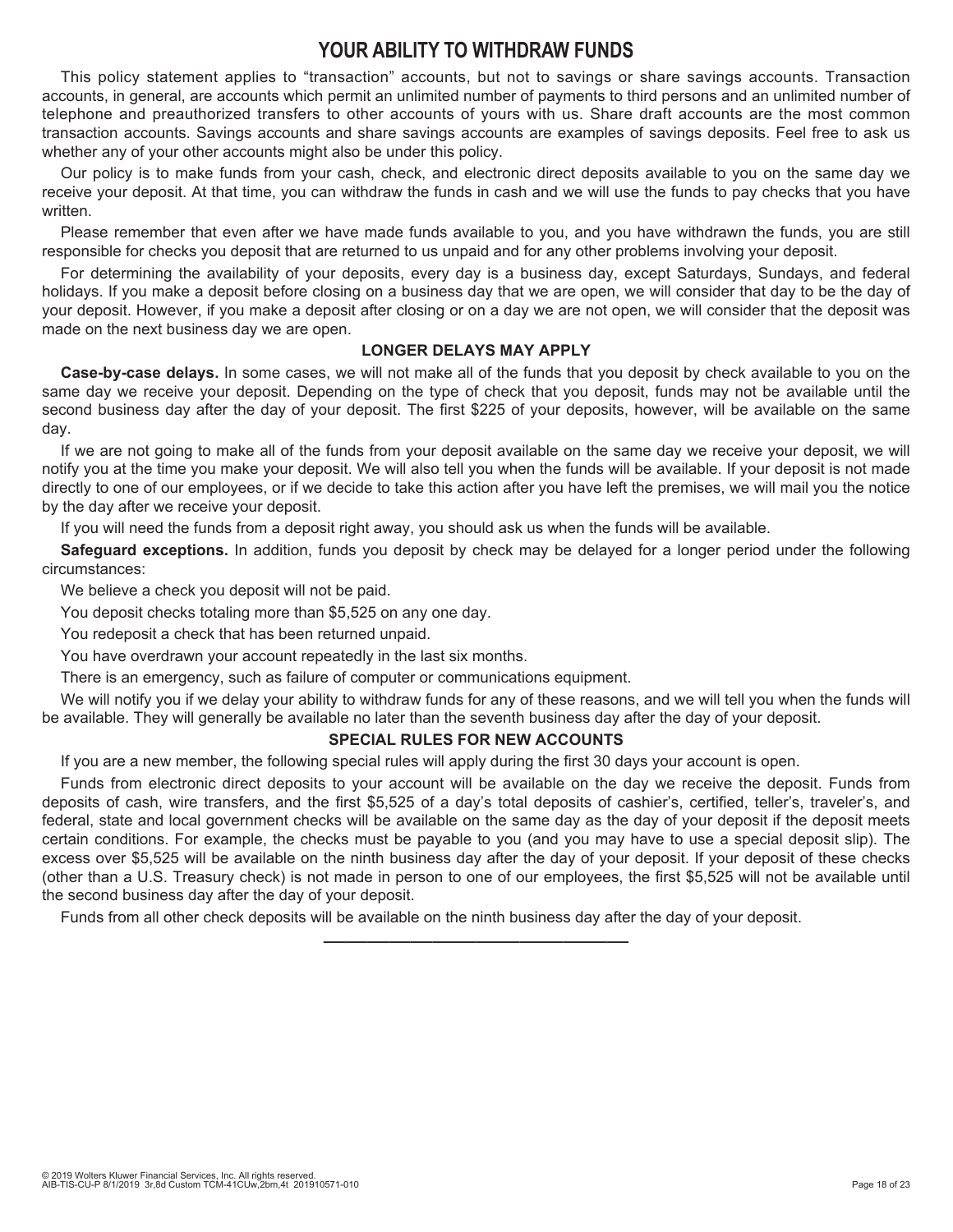## **YOUR ABILITY TO WITHDRAW FUNDS**

This policy statement applies to "transaction" accounts, but not to savings or share savings accounts. Transaction accounts, in general, are accounts which permit an unlimited number of payments to third persons and an unlimited number of telephone and preauthorized transfers to other accounts of yours with us. Share draft accounts are the most common transaction accounts. Savings accounts and share savings accounts are examples of savings deposits. Feel free to ask us whether any of your other accounts might also be under this policy.

Our policy is to make funds from your cash, check, and electronic direct deposits available to you on the same day we receive your deposit. At that time, you can withdraw the funds in cash and we will use the funds to pay checks that you have written

Please remember that even after we have made funds available to you, and you have withdrawn the funds, you are still responsible for checks you deposit that are returned to us unpaid and for any other problems involving your deposit.

For determining the availability of your deposits, every day is a business day, except Saturdays, Sundays, and federal holidays. If you make a deposit before closing on a business day that we are open, we will consider that day to be the day of your deposit. However, if you make a deposit after closing or on a day we are not open, we will consider that the deposit was made on the next business day we are open.

#### **LONGER DELAYS MAY APPLY**

**Case-by-case delays.** In some cases, we will not make all of the funds that you deposit by check available to you on the same day we receive your deposit. Depending on the type of check that you deposit, funds may not be available until the second business day after the day of your deposit. The first \$225 of your deposits, however, will be available on the same day.

If we are not going to make all of the funds from your deposit available on the same day we receive your deposit, we will notify you at the time you make your deposit. We will also tell you when the funds will be available. If your deposit is not made directly to one of our employees, or if we decide to take this action after you have left the premises, we will mail you the notice by the day after we receive your deposit.

If you will need the funds from a deposit right away, you should ask us when the funds will be available.

**Safeguard exceptions.** In addition, funds you deposit by check may be delayed for a longer period under the following circumstances:

We believe a check you deposit will not be paid.

You deposit checks totaling more than \$5,525 on any one day.

You redeposit a check that has been returned unpaid.

You have overdrawn your account repeatedly in the last six months.

There is an emergency, such as failure of computer or communications equipment.

We will notify you if we delay your ability to withdraw funds for any of these reasons, and we will tell you when the funds will be available. They will generally be available no later than the seventh business day after the day of your deposit.

#### **SPECIAL RULES FOR NEW ACCOUNTS**

If you are a new member, the following special rules will apply during the first 30 days your account is open.

Funds from electronic direct deposits to your account will be available on the day we receive the deposit. Funds from deposits of cash, wire transfers, and the first \$5,525 of a day's total deposits of cashier's, certified, teller's, traveler's, and federal, state and local government checks will be available on the same day as the day of your deposit if the deposit meets certain conditions. For example, the checks must be payable to you (and you may have to use a special deposit slip). The excess over \$5,525 will be available on the ninth business day after the day of your deposit. If your deposit of these checks (other than a U.S. Treasury check) is not made in person to one of our employees, the first \$5,525 will not be available until the second business day after the day of your deposit.

——————————————

Funds from all other check deposits will be available on the ninth business day after the day of your deposit.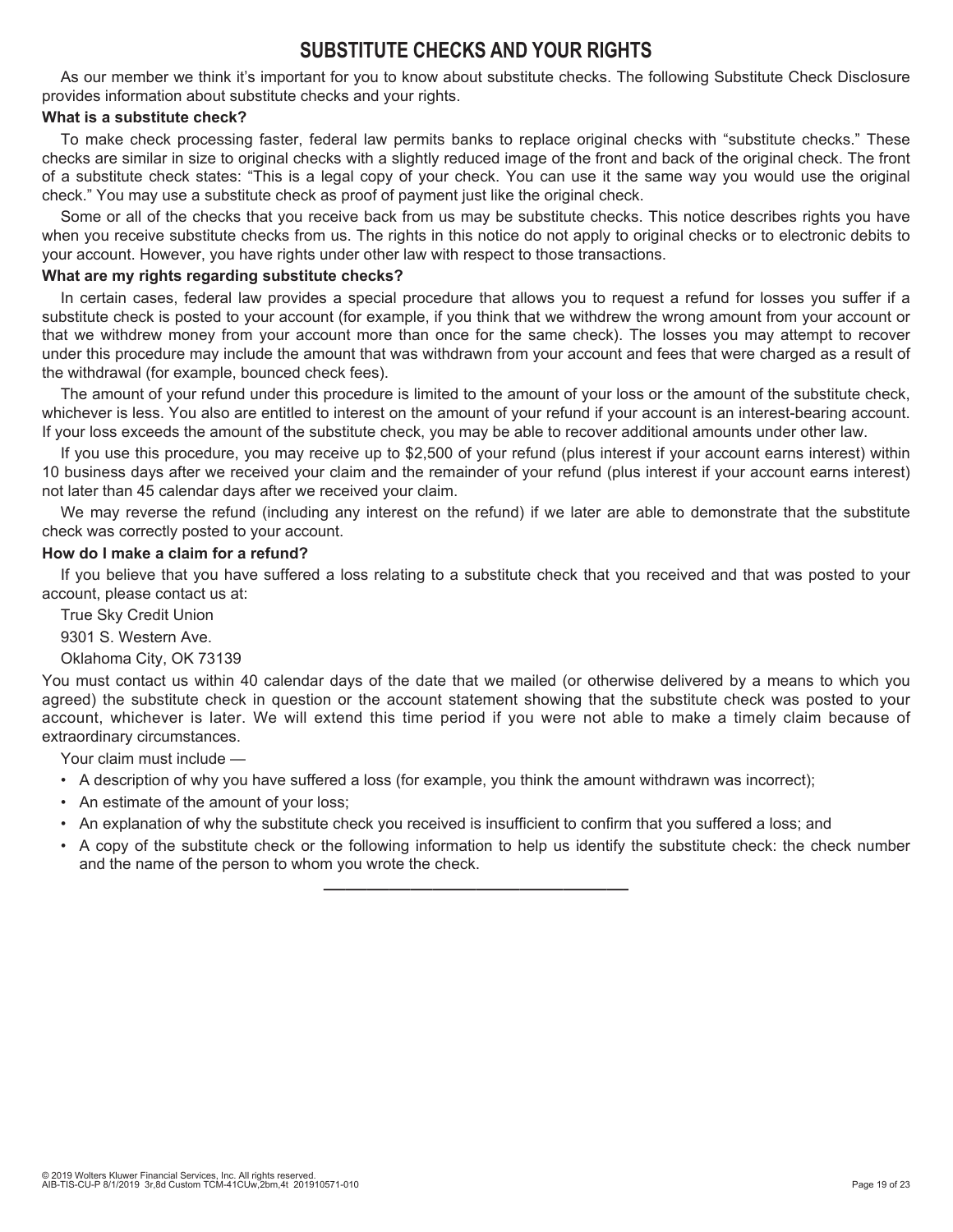## **SUBSTITUTE CHECKS AND YOUR RIGHTS**

As our member we think it's important for you to know about substitute checks. The following Substitute Check Disclosure provides information about substitute checks and your rights.

#### **What is a substitute check?**

To make check processing faster, federal law permits banks to replace original checks with "substitute checks." These checks are similar in size to original checks with a slightly reduced image of the front and back of the original check. The front of a substitute check states: "This is a legal copy of your check. You can use it the same way you would use the original check." You may use a substitute check as proof of payment just like the original check.

Some or all of the checks that you receive back from us may be substitute checks. This notice describes rights you have when you receive substitute checks from us. The rights in this notice do not apply to original checks or to electronic debits to your account. However, you have rights under other law with respect to those transactions.

#### **What are my rights regarding substitute checks?**

In certain cases, federal law provides a special procedure that allows you to request a refund for losses you suffer if a substitute check is posted to your account (for example, if you think that we withdrew the wrong amount from your account or that we withdrew money from your account more than once for the same check). The losses you may attempt to recover under this procedure may include the amount that was withdrawn from your account and fees that were charged as a result of the withdrawal (for example, bounced check fees).

The amount of your refund under this procedure is limited to the amount of your loss or the amount of the substitute check, whichever is less. You also are entitled to interest on the amount of your refund if your account is an interest-bearing account. If your loss exceeds the amount of the substitute check, you may be able to recover additional amounts under other law.

If you use this procedure, you may receive up to \$2,500 of your refund (plus interest if your account earns interest) within 10 business days after we received your claim and the remainder of your refund (plus interest if your account earns interest) not later than 45 calendar days after we received your claim.

We may reverse the refund (including any interest on the refund) if we later are able to demonstrate that the substitute check was correctly posted to your account.

#### **How do I make a claim for a refund?**

If you believe that you have suffered a loss relating to a substitute check that you received and that was posted to your account, please contact us at:

True Sky Credit Union

9301 S. Western Ave.

Oklahoma City, OK 73139

You must contact us within 40 calendar days of the date that we mailed (or otherwise delivered by a means to which you agreed) the substitute check in question or the account statement showing that the substitute check was posted to your account, whichever is later. We will extend this time period if you were not able to make a timely claim because of extraordinary circumstances.

Your claim must include —

- A description of why you have suffered a loss (for example, you think the amount withdrawn was incorrect);
- An estimate of the amount of your loss;
- An explanation of why the substitute check you received is insufficient to confirm that you suffered a loss; and
- A copy of the substitute check or the following information to help us identify the substitute check: the check number and the name of the person to whom you wrote the check.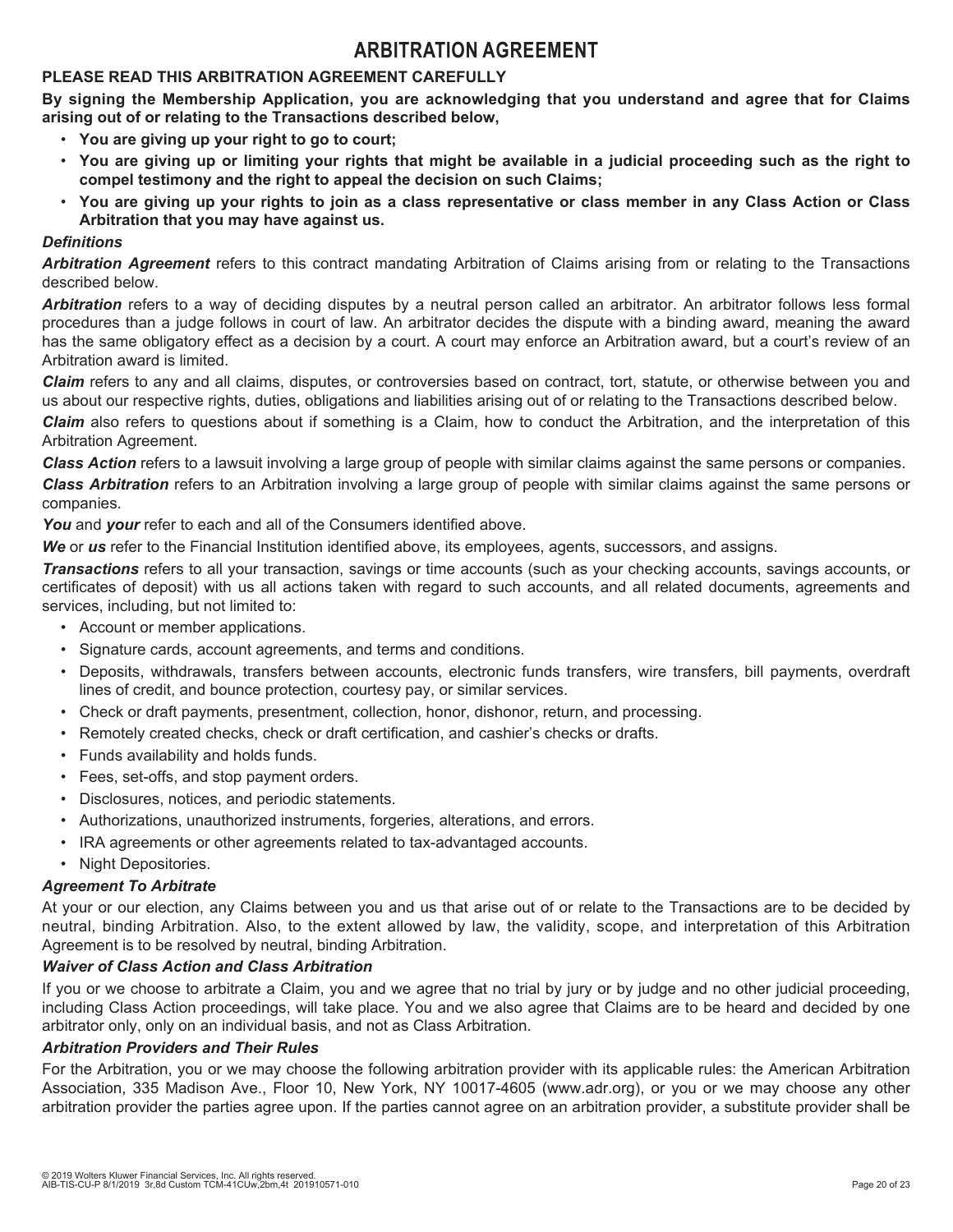## **ARBITRATION AGREEMENT**

#### **PLEASE READ THIS ARBITRATION AGREEMENT CAREFULLY**

**By signing the Membership Application, you are acknowledging that you understand and agree that for Claims arising out of or relating to the Transactions described below,** 

- **You are giving up your right to go to court;**
- **You are giving up or limiting your rights that might be available in a judicial proceeding such as the right to compel testimony and the right to appeal the decision on such Claims;**
- **You are giving up your rights to join as a class representative or class member in any Class Action or Class Arbitration that you may have against us.**

#### *Definitions*

*Arbitration Agreement* refers to this contract mandating Arbitration of Claims arising from or relating to the Transactions described below.

*Arbitration* refers to a way of deciding disputes by a neutral person called an arbitrator. An arbitrator follows less formal procedures than a judge follows in court of law. An arbitrator decides the dispute with a binding award, meaning the award has the same obligatory effect as a decision by a court. A court may enforce an Arbitration award, but a court's review of an Arbitration award is limited.

*Claim* refers to any and all claims, disputes, or controversies based on contract, tort, statute, or otherwise between you and us about our respective rights, duties, obligations and liabilities arising out of or relating to the Transactions described below.

*Claim* also refers to questions about if something is a Claim, how to conduct the Arbitration, and the interpretation of this Arbitration Agreement.

*Class Action* refers to a lawsuit involving a large group of people with similar claims against the same persons or companies.

*Class Arbitration* refers to an Arbitration involving a large group of people with similar claims against the same persons or companies.

*You* and *your* refer to each and all of the Consumers identified above.

*We* or *us* refer to the Financial Institution identified above, its employees, agents, successors, and assigns.

*Transactions* refers to all your transaction, savings or time accounts (such as your checking accounts, savings accounts, or certificates of deposit) with us all actions taken with regard to such accounts, and all related documents, agreements and services, including, but not limited to:

- Account or member applications.
- Signature cards, account agreements, and terms and conditions.
- Deposits, withdrawals, transfers between accounts, electronic funds transfers, wire transfers, bill payments, overdraft lines of credit, and bounce protection, courtesy pay, or similar services.
- Check or draft payments, presentment, collection, honor, dishonor, return, and processing.
- Remotely created checks, check or draft certification, and cashier's checks or drafts.
- Funds availability and holds funds.
- Fees, set-offs, and stop payment orders.
- Disclosures, notices, and periodic statements.
- Authorizations, unauthorized instruments, forgeries, alterations, and errors.
- IRA agreements or other agreements related to tax-advantaged accounts.
- Night Depositories.

#### *Agreement To Arbitrate*

At your or our election, any Claims between you and us that arise out of or relate to the Transactions are to be decided by neutral, binding Arbitration. Also, to the extent allowed by law, the validity, scope, and interpretation of this Arbitration Agreement is to be resolved by neutral, binding Arbitration.

#### *Waiver of Class Action and Class Arbitration*

If you or we choose to arbitrate a Claim, you and we agree that no trial by jury or by judge and no other judicial proceeding, including Class Action proceedings, will take place. You and we also agree that Claims are to be heard and decided by one arbitrator only, only on an individual basis, and not as Class Arbitration.

#### *Arbitration Providers and Their Rules*

For the Arbitration, you or we may choose the following arbitration provider with its applicable rules: the American Arbitration Association, 335 Madison Ave., Floor 10, New York, NY 10017-4605 (www.adr.org), or you or we may choose any other arbitration provider the parties agree upon. If the parties cannot agree on an arbitration provider, a substitute provider shall be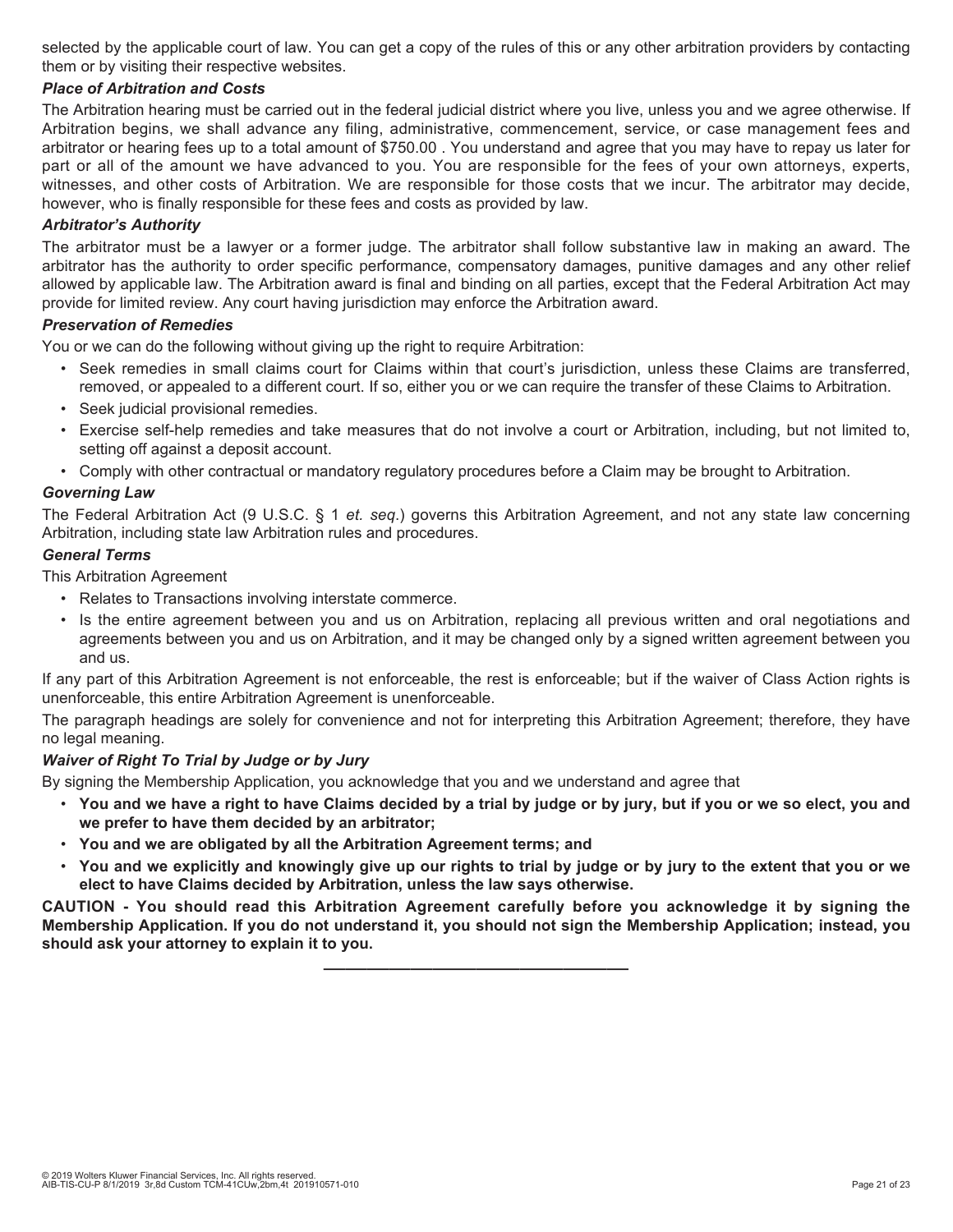selected by the applicable court of law. You can get a copy of the rules of this or any other arbitration providers by contacting them or by visiting their respective websites.

#### *Place of Arbitration and Costs*

The Arbitration hearing must be carried out in the federal judicial district where you live, unless you and we agree otherwise. If Arbitration begins, we shall advance any filing, administrative, commencement, service, or case management fees and arbitrator or hearing fees up to a total amount of \$750.00 . You understand and agree that you may have to repay us later for part or all of the amount we have advanced to you. You are responsible for the fees of your own attorneys, experts, witnesses, and other costs of Arbitration. We are responsible for those costs that we incur. The arbitrator may decide, however, who is finally responsible for these fees and costs as provided by law.

#### *Arbitrator's Authority*

The arbitrator must be a lawyer or a former judge. The arbitrator shall follow substantive law in making an award. The arbitrator has the authority to order specific performance, compensatory damages, punitive damages and any other relief allowed by applicable law. The Arbitration award is final and binding on all parties, except that the Federal Arbitration Act may provide for limited review. Any court having jurisdiction may enforce the Arbitration award.

#### *Preservation of Remedies*

You or we can do the following without giving up the right to require Arbitration:

- Seek remedies in small claims court for Claims within that court's jurisdiction, unless these Claims are transferred, removed, or appealed to a different court. If so, either you or we can require the transfer of these Claims to Arbitration.
- Seek judicial provisional remedies.
- Exercise self-help remedies and take measures that do not involve a court or Arbitration, including, but not limited to, setting off against a deposit account.
- Comply with other contractual or mandatory regulatory procedures before a Claim may be brought to Arbitration.

#### *Governing Law*

The Federal Arbitration Act (9 U.S.C. § 1 *et. seq*.) governs this Arbitration Agreement, and not any state law concerning Arbitration, including state law Arbitration rules and procedures.

#### *General Terms*

This Arbitration Agreement

- Relates to Transactions involving interstate commerce.
- Is the entire agreement between you and us on Arbitration, replacing all previous written and oral negotiations and agreements between you and us on Arbitration, and it may be changed only by a signed written agreement between you and us.

If any part of this Arbitration Agreement is not enforceable, the rest is enforceable; but if the waiver of Class Action rights is unenforceable, this entire Arbitration Agreement is unenforceable.

The paragraph headings are solely for convenience and not for interpreting this Arbitration Agreement; therefore, they have no legal meaning.

#### *Waiver of Right To Trial by Judge or by Jury*

By signing the Membership Application, you acknowledge that you and we understand and agree that

- **You and we have a right to have Claims decided by a trial by judge or by jury, but if you or we so elect, you and we prefer to have them decided by an arbitrator;**
- **You and we are obligated by all the Arbitration Agreement terms; and**
- **You and we explicitly and knowingly give up our rights to trial by judge or by jury to the extent that you or we elect to have Claims decided by Arbitration, unless the law says otherwise.**

**CAUTION - You should read this Arbitration Agreement carefully before you acknowledge it by signing the Membership Application. If you do not understand it, you should not sign the Membership Application; instead, you should ask your attorney to explain it to you.**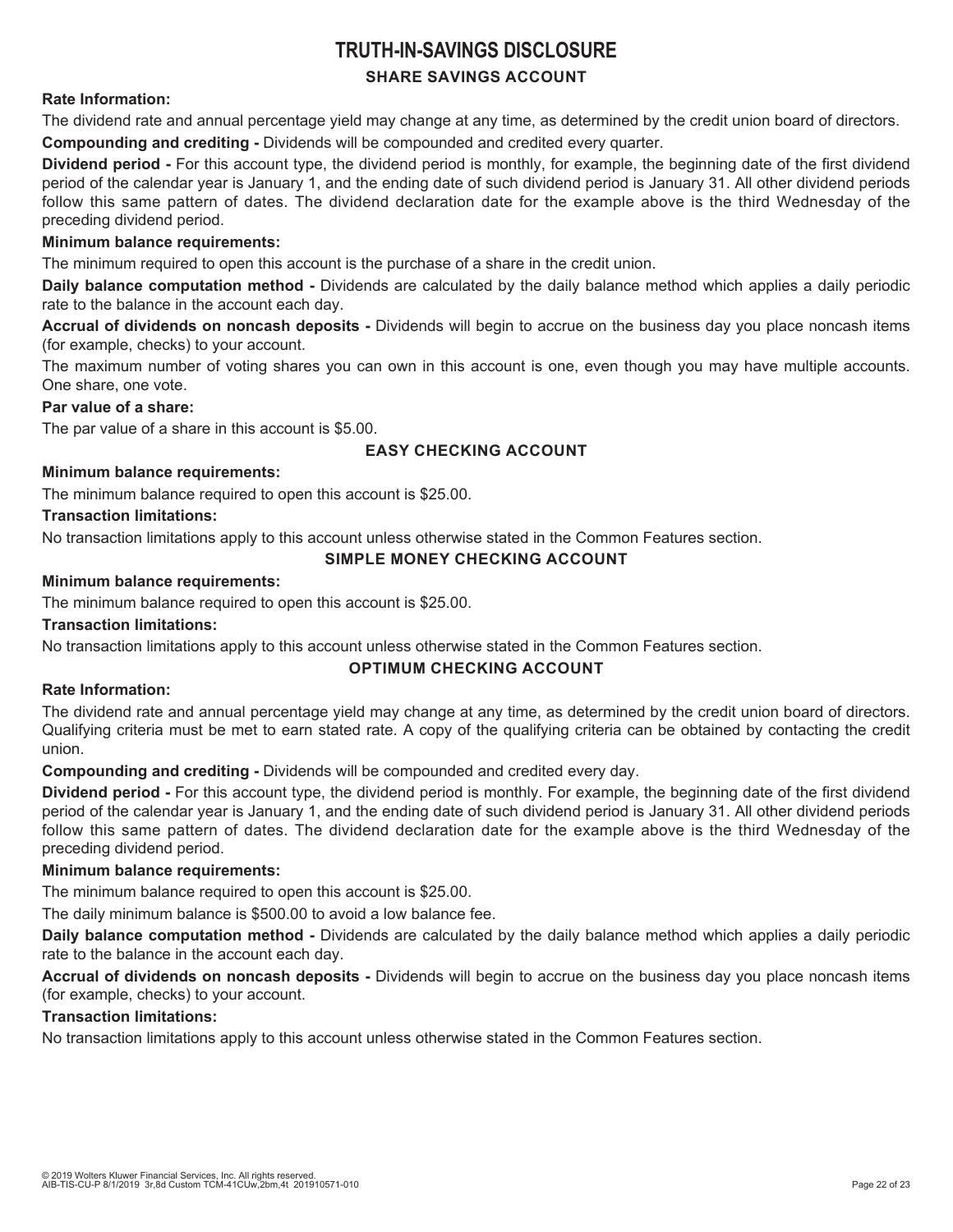## **TRUTH-IN-SAVINGS DISCLOSURE**

#### **SHARE SAVINGS ACCOUNT**

#### **Rate Information:**

The dividend rate and annual percentage yield may change at any time, as determined by the credit union board of directors.

**Compounding and crediting -** Dividends will be compounded and credited every quarter.

**Dividend period -** For this account type, the dividend period is monthly, for example, the beginning date of the first dividend period of the calendar year is January 1, and the ending date of such dividend period is January 31. All other dividend periods follow this same pattern of dates. The dividend declaration date for the example above is the third Wednesday of the preceding dividend period.

#### **Minimum balance requirements:**

The minimum required to open this account is the purchase of a share in the credit union.

**Daily balance computation method -** Dividends are calculated by the daily balance method which applies a daily periodic rate to the balance in the account each day.

**Accrual of dividends on noncash deposits -** Dividends will begin to accrue on the business day you place noncash items (for example, checks) to your account.

The maximum number of voting shares you can own in this account is one, even though you may have multiple accounts. One share, one vote.

#### **Par value of a share:**

The par value of a share in this account is \$5.00.

#### **EASY CHECKING ACCOUNT**

#### **Minimum balance requirements:**

The minimum balance required to open this account is \$25.00.

#### **Transaction limitations:**

No transaction limitations apply to this account unless otherwise stated in the Common Features section.

#### **SIMPLE MONEY CHECKING ACCOUNT**

#### **Minimum balance requirements:**

The minimum balance required to open this account is \$25.00.

#### **Transaction limitations:**

No transaction limitations apply to this account unless otherwise stated in the Common Features section.

#### **OPTIMUM CHECKING ACCOUNT**

#### **Rate Information:**

The dividend rate and annual percentage yield may change at any time, as determined by the credit union board of directors. Qualifying criteria must be met to earn stated rate. A copy of the qualifying criteria can be obtained by contacting the credit union.

**Compounding and crediting -** Dividends will be compounded and credited every day.

**Dividend period -** For this account type, the dividend period is monthly. For example, the beginning date of the first dividend period of the calendar year is January 1, and the ending date of such dividend period is January 31. All other dividend periods follow this same pattern of dates. The dividend declaration date for the example above is the third Wednesday of the preceding dividend period.

#### **Minimum balance requirements:**

The minimum balance required to open this account is \$25.00.

The daily minimum balance is \$500.00 to avoid a low balance fee.

**Daily balance computation method -** Dividends are calculated by the daily balance method which applies a daily periodic rate to the balance in the account each day.

**Accrual of dividends on noncash deposits -** Dividends will begin to accrue on the business day you place noncash items (for example, checks) to your account.

#### **Transaction limitations:**

No transaction limitations apply to this account unless otherwise stated in the Common Features section.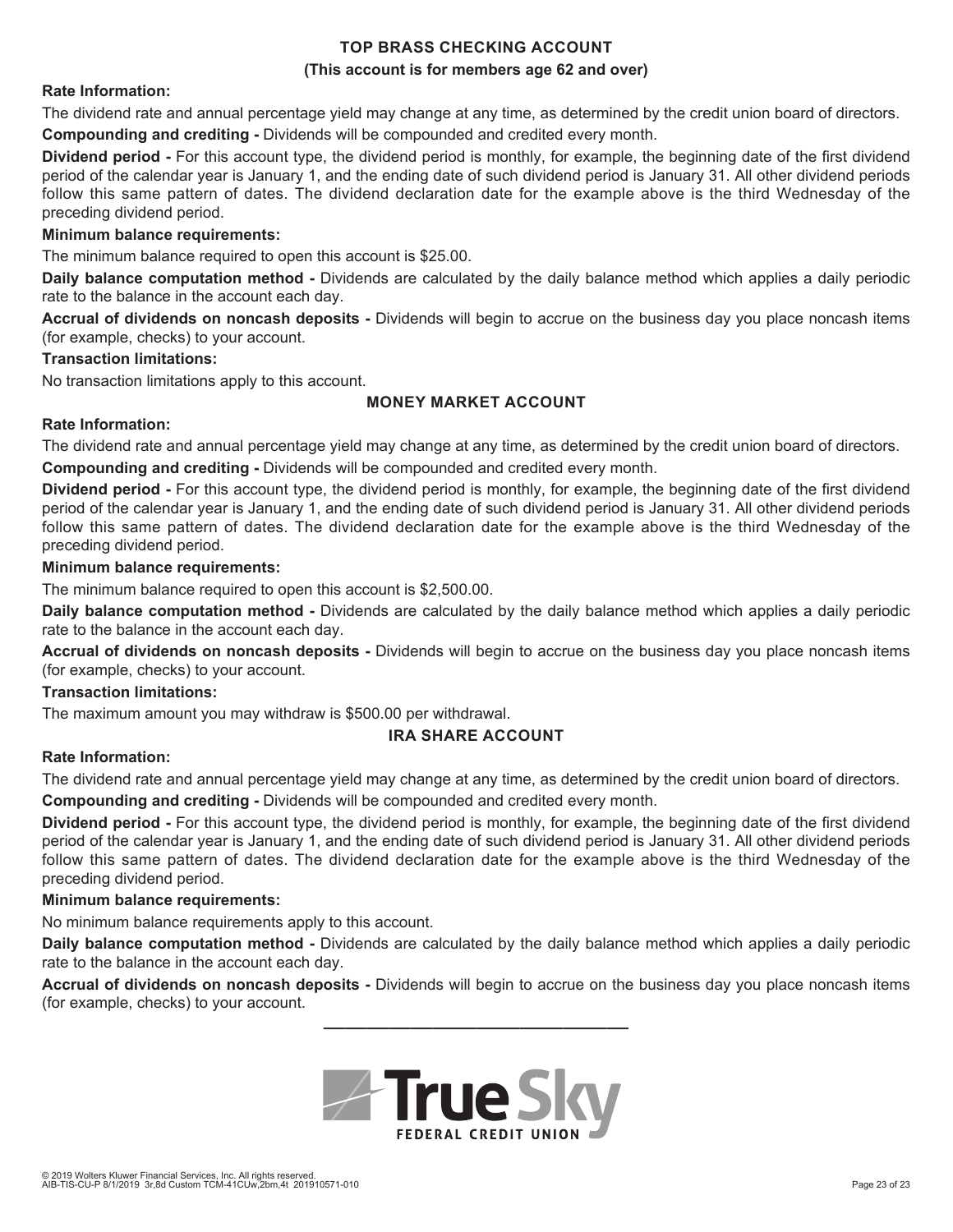#### **TOP BRASS CHECKING ACCOUNT (This account is for members age 62 and over)**

#### **Rate Information:**

The dividend rate and annual percentage yield may change at any time, as determined by the credit union board of directors.

**Compounding and crediting -** Dividends will be compounded and credited every month.

**Dividend period -** For this account type, the dividend period is monthly, for example, the beginning date of the first dividend period of the calendar year is January 1, and the ending date of such dividend period is January 31. All other dividend periods follow this same pattern of dates. The dividend declaration date for the example above is the third Wednesday of the preceding dividend period.

#### **Minimum balance requirements:**

The minimum balance required to open this account is \$25.00.

**Daily balance computation method -** Dividends are calculated by the daily balance method which applies a daily periodic rate to the balance in the account each day.

**Accrual of dividends on noncash deposits -** Dividends will begin to accrue on the business day you place noncash items (for example, checks) to your account.

#### **Transaction limitations:**

No transaction limitations apply to this account.

#### **MONEY MARKET ACCOUNT**

#### **Rate Information:**

The dividend rate and annual percentage yield may change at any time, as determined by the credit union board of directors.

**Compounding and crediting -** Dividends will be compounded and credited every month.

**Dividend period -** For this account type, the dividend period is monthly, for example, the beginning date of the first dividend period of the calendar year is January 1, and the ending date of such dividend period is January 31. All other dividend periods follow this same pattern of dates. The dividend declaration date for the example above is the third Wednesday of the preceding dividend period.

#### **Minimum balance requirements:**

The minimum balance required to open this account is \$2,500.00.

**Daily balance computation method -** Dividends are calculated by the daily balance method which applies a daily periodic rate to the balance in the account each day.

**Accrual of dividends on noncash deposits -** Dividends will begin to accrue on the business day you place noncash items (for example, checks) to your account.

#### **Transaction limitations:**

The maximum amount you may withdraw is \$500.00 per withdrawal.

#### **IRA SHARE ACCOUNT**

#### **Rate Information:**

The dividend rate and annual percentage yield may change at any time, as determined by the credit union board of directors.

**Compounding and crediting -** Dividends will be compounded and credited every month.

**Dividend period -** For this account type, the dividend period is monthly, for example, the beginning date of the first dividend period of the calendar year is January 1, and the ending date of such dividend period is January 31. All other dividend periods follow this same pattern of dates. The dividend declaration date for the example above is the third Wednesday of the preceding dividend period.

#### **Minimum balance requirements:**

No minimum balance requirements apply to this account.

**Daily balance computation method -** Dividends are calculated by the daily balance method which applies a daily periodic rate to the balance in the account each day.

**Accrual of dividends on noncash deposits -** Dividends will begin to accrue on the business day you place noncash items (for example, checks) to your account.